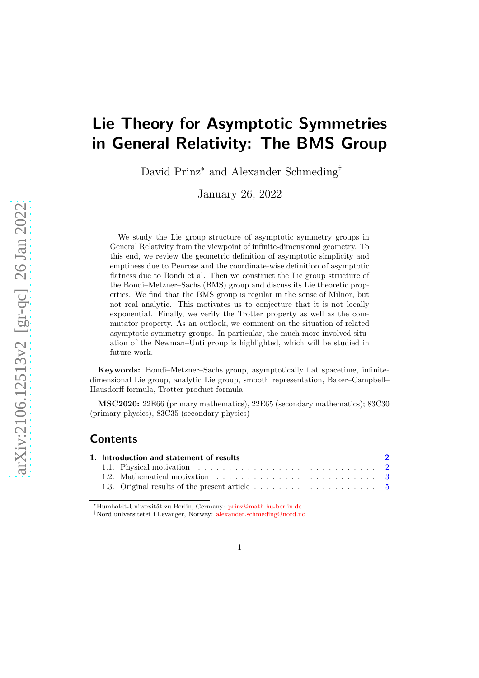# Lie Theory for Asymptotic Symmetries in General Relativity: The BMS Group

David Prinz<sup>∗</sup> and Alexander Schmeding†

January 26, 2022

We study the Lie group structure of asymptotic symmetry groups in General Relativity from the viewpoint of infinite-dimensional geometry. To this end, we review the geometric definition of asymptotic simplicity and emptiness due to Penrose and the coordinate-wise definition of asymptotic flatness due to Bondi et al. Then we construct the Lie group structure of the Bondi–Metzner–Sachs (BMS) group and discuss its Lie theoretic properties. We find that the BMS group is regular in the sense of Milnor, but not real analytic. This motivates us to conjecture that it is not locally exponential. Finally, we verify the Trotter property as well as the commutator property. As an outlook, we comment on the situation of related asymptotic symmetry groups. In particular, the much more involved situation of the Newman–Unti group is highlighted, which will be studied in future work.

Keywords: Bondi–Metzner–Sachs group, asymptotically flat spacetime, infinitedimensional Lie group, analytic Lie group, smooth representation, Baker–Campbell– Hausdorff formula, Trotter product formula

MSC2020: 22E66 (primary mathematics), 22E65 (secondary mathematics); 83C30 (primary physics), 83C35 (secondary physics)

## Contents

| 1. Introduction and statement of results |                                                                                                                    |  |
|------------------------------------------|--------------------------------------------------------------------------------------------------------------------|--|
|                                          | 1.1. Physical motivation $\ldots \ldots \ldots \ldots \ldots \ldots \ldots \ldots \ldots \ldots 2$                 |  |
|                                          | 1.2. Mathematical motivation $\ldots$ , $\ldots$ , $\ldots$ , $\ldots$ , $\ldots$ , $\ldots$ , $\ldots$ , $\ldots$ |  |
|                                          | 1.3. Original results of the present article $\ldots \ldots \ldots \ldots \ldots \ldots \ldots$                    |  |

<sup>∗</sup>Humboldt-Universit¨at zu Berlin, Germany: [prinz@math.hu-berlin.de](mailto:prinz@math.hu-berlin.de)

<sup>†</sup>Nord universitetet i Levanger, Norway: [alexander.schmeding@nord.no](mailto:alexander.schmeding@nord.no)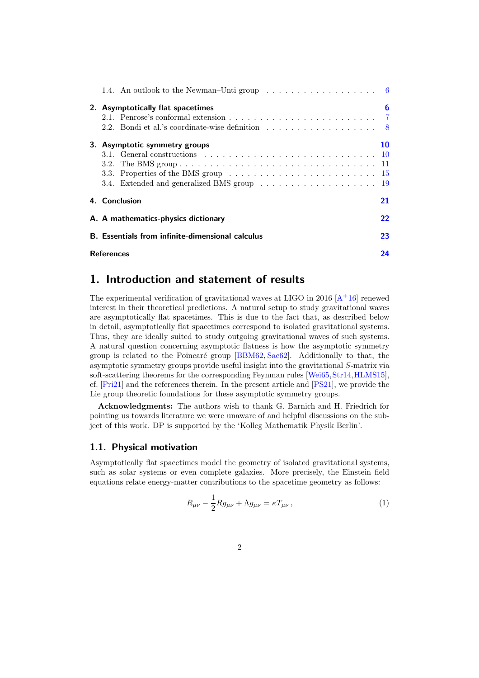|                         |                                                         | 1.4. An outlook to the Newman–Unti group $\dots \dots \dots \dots \dots \dots \dots$                         |    |  |  |
|-------------------------|---------------------------------------------------------|--------------------------------------------------------------------------------------------------------------|----|--|--|
|                         | 2. Asymptotically flat spacetimes                       |                                                                                                              |    |  |  |
|                         |                                                         | 2.1. Penrose's conformal extension $\ldots \ldots \ldots \ldots \ldots \ldots \ldots$                        |    |  |  |
|                         |                                                         | 2.2. Bondi et al.'s coordinate-wise definition $\dots \dots \dots \dots \dots \dots$                         |    |  |  |
|                         | 3. Asymptotic symmetry groups                           |                                                                                                              |    |  |  |
|                         |                                                         | 3.1. General constructions $\ldots \ldots \ldots \ldots \ldots \ldots \ldots \ldots \ldots \ldots \ldots 10$ |    |  |  |
|                         |                                                         |                                                                                                              |    |  |  |
|                         |                                                         | 3.3. Properties of the BMS group $\ldots \ldots \ldots \ldots \ldots \ldots \ldots \ldots \ldots 15$         |    |  |  |
|                         |                                                         |                                                                                                              |    |  |  |
|                         | 4. Conclusion                                           |                                                                                                              | 21 |  |  |
|                         | A. A mathematics-physics dictionary                     |                                                                                                              |    |  |  |
|                         | <b>B.</b> Essentials from infinite-dimensional calculus |                                                                                                              |    |  |  |
| 24<br><b>References</b> |                                                         |                                                                                                              |    |  |  |

## <span id="page-1-0"></span>1. Introduction and statement of results

The experimental verification of gravitational waves at LIGO in 2016  $[A^+16]$  $[A^+16]$  renewed interest in their theoretical predictions. A natural setup to study gravitational waves are asymptotically flat spacetimes. This is due to the fact that, as described below in detail, asymptotically flat spacetimes correspond to isolated gravitational systems. Thus, they are ideally suited to study outgoing gravitational waves of such systems. A natural question concerning asymptotic flatness is how the asymptotic symmetry group is related to the Poincaré group [\[BBM62,](#page-24-0) [Sac62\]](#page-27-0). Additionally to that, the asymptotic symmetry groups provide useful insight into the gravitational S-matrix via soft-scattering theorems for the corresponding Feynman rules [\[Wei65,](#page-28-0) [Str14,](#page-27-1) [HLMS15\]](#page-26-0), cf. [\[Pri21\]](#page-27-2) and the references therein. In the present article and [\[PS21\]](#page-27-3), we provide the Lie group theoretic foundations for these asymptotic symmetry groups.

Acknowledgments: The authors wish to thank G. Barnich and H. Friedrich for pointing us towards literature we were unaware of and helpful discussions on the subject of this work. DP is supported by the 'Kolleg Mathematik Physik Berlin'.

#### <span id="page-1-1"></span>1.1. Physical motivation

Asymptotically flat spacetimes model the geometry of isolated gravitational systems, such as solar systems or even complete galaxies. More precisely, the Einstein field equations relate energy-matter contributions to the spacetime geometry as follows:

$$
R_{\mu\nu} - \frac{1}{2} R g_{\mu\nu} + \Lambda g_{\mu\nu} = \kappa T_{\mu\nu} , \qquad (1)
$$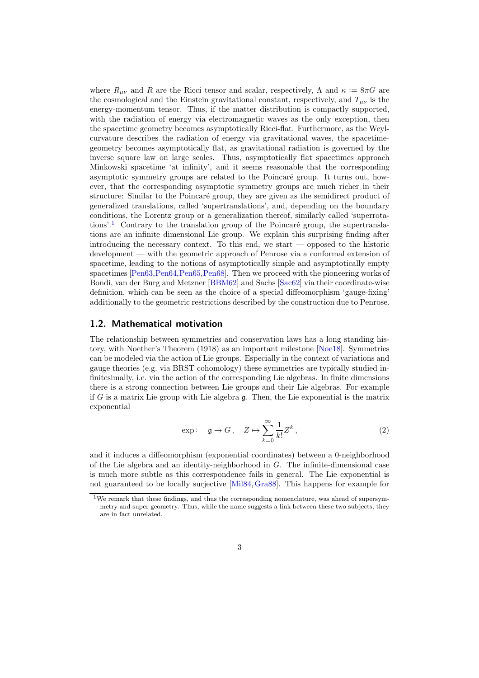where  $R_{\mu\nu}$  and R are the Ricci tensor and scalar, respectively,  $\Lambda$  and  $\kappa := 8\pi G$  are the cosmological and the Einstein gravitational constant, respectively, and  $T_{\mu\nu}$  is the energy-momentum tensor. Thus, if the matter distribution is compactly supported, with the radiation of energy via electromagnetic waves as the only exception, then the spacetime geometry becomes asymptotically Ricci-flat. Furthermore, as the Weylcurvature describes the radiation of energy via gravitational waves, the spacetimegeometry becomes asymptotically flat, as gravitational radiation is governed by the inverse square law on large scales. Thus, asymptotically flat spacetimes approach Minkowski spacetime 'at infinity', and it seems reasonable that the corresponding asymptotic symmetry groups are related to the Poincaré group. It turns out, however, that the corresponding asymptotic symmetry groups are much richer in their structure: Similar to the Poincaré group, they are given as the semidirect product of generalized translations, called 'supertranslations', and, depending on the boundary conditions, the Lorentz group or a generalization thereof, similarly called 'superrota-tions'.<sup>[1](#page-2-1)</sup> Contrary to the translation group of the Poincaré group, the supertranslations are an infinite dimensional Lie group. We explain this surprising finding after introducing the necessary context. To this end, we start — opposed to the historic development — with the geometric approach of Penrose via a conformal extension of spacetime, leading to the notions of asymptotically simple and asymptotically empty spacetimes [\[Pen63,](#page-27-4)[Pen64,](#page-27-5)[Pen65,](#page-27-6)[Pen68\]](#page-27-7). Then we proceed with the pioneering works of Bondi, van der Burg and Metzner [\[BBM62\]](#page-24-0) and Sachs [\[Sac62\]](#page-27-0) via their coordinate-wise definition, which can be seen as the choice of a special diffeomorphism 'gauge-fixing' additionally to the geometric restrictions described by the construction due to Penrose.

#### <span id="page-2-0"></span>1.2. Mathematical motivation

The relationship between symmetries and conservation laws has a long standing history, with Noether's Theorem (1918) as an important milestone [\[Noe18\]](#page-27-8). Symmetries can be modeled via the action of Lie groups. Especially in the context of variations and gauge theories (e.g. via BRST cohomology) these symmetries are typically studied infinitesimally, i.e. via the action of the corresponding Lie algebras. In finite dimensions there is a strong connection between Lie groups and their Lie algebras. For example if G is a matrix Lie group with Lie algebra  $\mathfrak g$ . Then, the Lie exponential is the matrix exponential

<span id="page-2-2"></span>
$$
\exp: \quad \mathfrak{g} \to G \,, \quad Z \mapsto \sum_{k=0}^{\infty} \frac{1}{k!} Z^k \,, \tag{2}
$$

and it induces a diffeomorphism (exponential coordinates) between a 0-neighborhood of the Lie algebra and an identity-neighborhood in G. The infinite-dimensional case is much more subtle as this correspondence fails in general. The Lie exponential is not guaranteed to be locally surjective [\[Mil84,](#page-26-1)[Gra88\]](#page-25-0). This happens for example for

<span id="page-2-1"></span><sup>1</sup>We remark that these findings, and thus the corresponding nomenclature, was ahead of supersymmetry and super geometry. Thus, while the name suggests a link between these two subjects, they are in fact unrelated.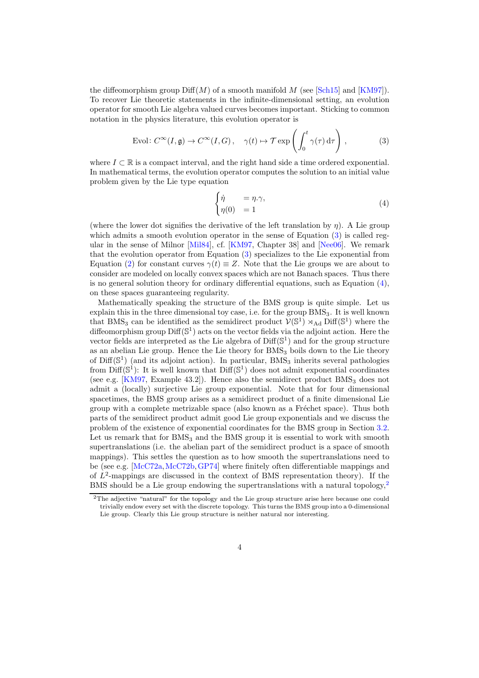the diffeomorphism group  $\text{Diff}(M)$  of a smooth manifold M (see [\[Sch15\]](#page-27-9) and [\[KM97\]](#page-26-2)). To recover Lie theoretic statements in the infinite-dimensional setting, an evolution operator for smooth Lie algebra valued curves becomes important. Sticking to common notation in the physics literature, this evolution operator is

$$
\text{Evol}: C^{\infty}(I, \mathfrak{g}) \to C^{\infty}(I, G), \quad \gamma(t) \mapsto \mathcal{T} \exp\left(\int_0^t \gamma(\tau) d\tau\right), \tag{3}
$$

where  $I \subset \mathbb{R}$  is a compact interval, and the right hand side a time ordered exponential. In mathematical terms, the evolution operator computes the solution to an initial value problem given by the Lie type equation

<span id="page-3-1"></span><span id="page-3-0"></span>
$$
\begin{cases} \dot{\eta} = \eta.\gamma, \\ \eta(0) = 1 \end{cases} \tag{4}
$$

(where the lower dot signifies the derivative of the left translation by  $\eta$ ). A Lie group which admits a smooth evolution operator in the sense of Equation [\(3\)](#page-3-0) is called regular in the sense of Milnor [\[Mil84\]](#page-26-1), cf. [\[KM97,](#page-26-2) Chapter 38] and [\[Nee06\]](#page-26-3). We remark that the evolution operator from Equation [\(3\)](#page-3-0) specializes to the Lie exponential from Equation [\(2\)](#page-2-2) for constant curves  $\gamma(t) \equiv Z$ . Note that the Lie groups we are about to consider are modeled on locally convex spaces which are not Banach spaces. Thus there is no general solution theory for ordinary differential equations, such as Equation  $(4)$ , on these spaces guaranteeing regularity.

Mathematically speaking the structure of the BMS group is quite simple. Let us explain this in the three dimensional toy case, i.e. for the group  $BMS<sub>3</sub>$ . It is well known that BMS<sub>3</sub> can be identified as the semidirect product  $V(\mathbb{S}^1) \rtimes_{\text{Ad}} \text{Diff}(\mathbb{S}^1)$  where the diffeomorphism group  $\text{Diff}(\mathbb{S}^1)$  acts on the vector fields via the adjoint action. Here the vector fields are interpreted as the Lie algebra of  $\text{Diff}(\mathbb{S}^1)$  and for the group structure as an abelian Lie group. Hence the Lie theory for BMS<sup>3</sup> boils down to the Lie theory of  $Diff(\mathbb{S}^1)$  (and its adjoint action). In particular, BMS<sub>3</sub> inherits several pathologies from  $\text{Diff}(\mathbb{S}^1)$ : It is well known that  $\text{Diff}(\mathbb{S}^1)$  does not admit exponential coordinates (see e.g. [\[KM97,](#page-26-2) Example 43.2]). Hence also the semidirect product  $\rm BMS<sub>3</sub>$  does not admit a (locally) surjective Lie group exponential. Note that for four dimensional spacetimes, the BMS group arises as a semidirect product of a finite dimensional Lie group with a complete metrizable space (also known as a Fréchet space). Thus both parts of the semidirect product admit good Lie group exponentials and we discuss the problem of the existence of exponential coordinates for the BMS group in Section [3.2.](#page-10-0) Let us remark that for  $BMS<sub>3</sub>$  and the BMS group it is essential to work with smooth supertranslations (i.e. the abelian part of the semidirect product is a space of smooth mappings). This settles the question as to how smooth the supertranslations need to be (see e.g. [\[McC72a,](#page-26-4)[McC72b,](#page-26-5)[GP74\]](#page-25-1) where finitely often differentiable mappings and of  $L^2$ -mappings are discussed in the context of BMS representation theory). If the BMS should be a Lie group endowing the supertranslations with a natural topology,<sup>[2](#page-3-2)</sup>

<span id="page-3-2"></span><sup>2</sup>The adjective "natural" for the topology and the Lie group structure arise here because one could trivially endow every set with the discrete topology. This turns the BMS group into a 0-dimensional Lie group. Clearly this Lie group structure is neither natural nor interesting.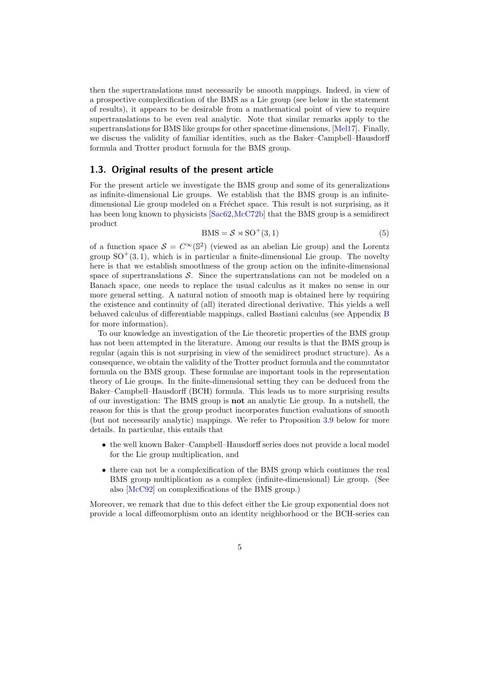then the supertranslations must necessarily be smooth mappings. Indeed, in view of a prospective complexification of the BMS as a Lie group (see below in the statement of results), it appears to be desirable from a mathematical point of view to require supertranslations to be even real analytic. Note that similar remarks apply to the supertranslations for BMS like groups for other spacetime dimensions, [\[Mel17\]](#page-26-6). Finally, we discuss the validity of familiar identities, such as the Baker–Campbell–Hausdorff formula and Trotter product formula for the BMS group.

#### <span id="page-4-0"></span>1.3. Original results of the present article

For the present article we investigate the BMS group and some of its generalizations as infinite-dimensional Lie groups. We establish that the BMS group is an infinitedimensional Lie group modeled on a Fréchet space. This result is not surprising, as it has been long known to physicists [\[Sac62,](#page-27-0)[McC72b\]](#page-26-5) that the BMS group is a semidirect product

$$
BMS = \mathcal{S} \rtimes SO^+(3,1) \tag{5}
$$

of a function space  $S = C^{\infty}(\mathbb{S}^2)$  (viewed as an abelian Lie group) and the Lorentz group  $SO^+(3,1)$ , which is in particular a finite-dimensional Lie group. The novelty here is that we establish smoothness of the group action on the infinite-dimensional space of supertranslations  $S$ . Since the supertranslations can not be modeled on a Banach space, one needs to replace the usual calculus as it makes no sense in our more general setting. A natural notion of smooth map is obtained here by requiring the existence and continuity of (all) iterated directional derivative. This yields a well behaved calculus of differentiable mappings, called Bastiani calculus (see Appendix [B](#page-22-0) for more information).

To our knowledge an investigation of the Lie theoretic properties of the BMS group has not been attempted in the literature. Among our results is that the BMS group is regular (again this is not surprising in view of the semidirect product structure). As a consequence, we obtain the validity of the Trotter product formula and the commutator formula on the BMS group. These formulae are important tools in the representation theory of Lie groups. In the finite-dimensional setting they can be deduced from the Baker–Campbell–Hausdorff (BCH) formula. This leads us to more surprising results of our investigation: The BMS group is not an analytic Lie group. In a nutshell, the reason for this is that the group product incorporates function evaluations of smooth (but not necessarily analytic) mappings. We refer to Proposition [3.9](#page-14-1) below for more details. In particular, this entails that

- the well known Baker–Campbell–Hausdorff series does not provide a local model for the Lie group multiplication, and
- there can not be a complexification of the BMS group which continues the real BMS group multiplication as a complex (infinite-dimensional) Lie group. (See also [\[McC92\]](#page-26-7) on complexifications of the BMS group.)

Moreover, we remark that due to this defect either the Lie group exponential does not provide a local diffeomorphism onto an identity neighborhood or the BCH-series can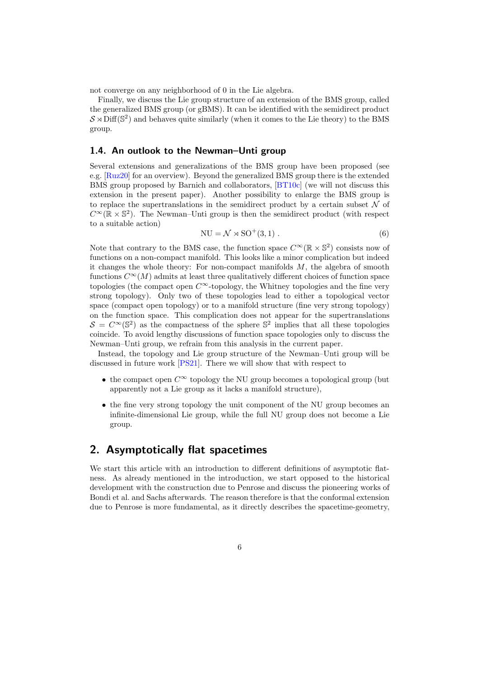not converge on any neighborhood of 0 in the Lie algebra.

Finally, we discuss the Lie group structure of an extension of the BMS group, called the generalized BMS group (or gBMS). It can be identified with the semidirect product  $\mathcal S \rtimes \mathrm{Diff}(\mathbb S^2)$  and behaves quite similarly (when it comes to the Lie theory) to the BMS group.

#### <span id="page-5-0"></span>1.4. An outlook to the Newman–Unti group

Several extensions and generalizations of the BMS group have been proposed (see e.g. [\[Ruz20\]](#page-27-10) for an overview). Beyond the generalized BMS group there is the extended BMS group proposed by Barnich and collaborators, [\[BT10c\]](#page-24-1) (we will not discuss this extension in the present paper). Another possibility to enlarge the BMS group is to replace the supertranslations in the semidirect product by a certain subset  $\mathcal N$  of  $C^{\infty}(\mathbb{R} \times \mathbb{S}^2)$ . The Newman–Unti group is then the semidirect product (with respect to a suitable action)

$$
NU = \mathcal{N} \rtimes SO^+(3,1) . \tag{6}
$$

Note that contrary to the BMS case, the function space  $C^{\infty}(\mathbb{R} \times \mathbb{S}^2)$  consists now of functions on a non-compact manifold. This looks like a minor complication but indeed it changes the whole theory: For non-compact manifolds  $M$ , the algebra of smooth functions  $C^{\infty}(M)$  admits at least three qualitatively different choices of function space topologies (the compact open  $C^{\infty}$ -topology, the Whitney topologies and the fine very strong topology). Only two of these topologies lead to either a topological vector space (compact open topology) or to a manifold structure (fine very strong topology) on the function space. This complication does not appear for the supertranslations  $S = C^{\infty}(\mathbb{S}^2)$  as the compactness of the sphere  $\mathbb{S}^2$  implies that all these topologies coincide. To avoid lengthy discussions of function space topologies only to discuss the Newman–Unti group, we refrain from this analysis in the current paper.

Instead, the topology and Lie group structure of the Newman–Unti group will be discussed in future work [\[PS21\]](#page-27-3). There we will show that with respect to

- the compact open  $C^{\infty}$  topology the NU group becomes a topological group (but apparently not a Lie group as it lacks a manifold structure),
- the fine very strong topology the unit component of the NU group becomes an infinite-dimensional Lie group, while the full NU group does not become a Lie group.

## <span id="page-5-1"></span>2. Asymptotically flat spacetimes

We start this article with an introduction to different definitions of asymptotic flatness. As already mentioned in the introduction, we start opposed to the historical development with the construction due to Penrose and discuss the pioneering works of Bondi et al. and Sachs afterwards. The reason therefore is that the conformal extension due to Penrose is more fundamental, as it directly describes the spacetime-geometry,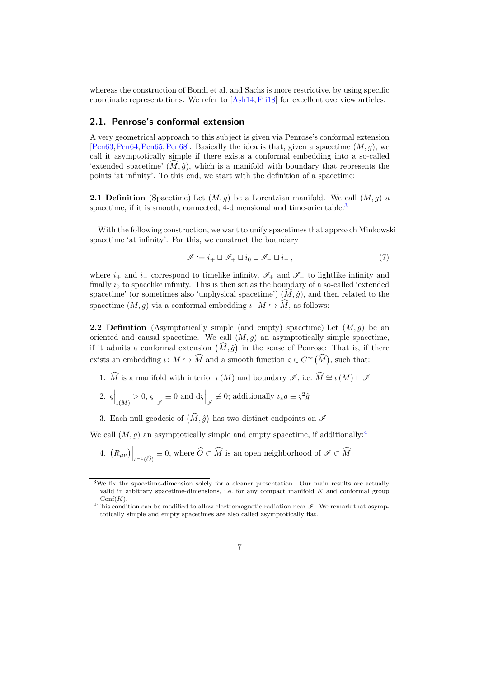whereas the construction of Bondi et al. and Sachs is more restrictive, by using specific coordinate representations. We refer to [\[Ash14,](#page-24-2)[Fri18\]](#page-25-2) for excellent overview articles.

#### <span id="page-6-0"></span>2.1. Penrose's conformal extension

A very geometrical approach to this subject is given via Penrose's conformal extension [\[Pen63,](#page-27-4) [Pen64,](#page-27-5) [Pen65,](#page-27-6) [Pen68\]](#page-27-7). Basically the idea is that, given a spacetime  $(M, q)$ , we call it asymptotically simple if there exists a conformal embedding into a so-called 'extended spacetime'  $(M, \hat{q})$ , which is a manifold with boundary that represents the points 'at infinity'. To this end, we start with the definition of a spacetime:

**2.1 Definition** (Spacetime) Let  $(M, g)$  be a Lorentzian manifold. We call  $(M, g)$  a spacetime, if it is smooth, connected, 4-dimensional and time-orientable.<sup>[3](#page-6-1)</sup>

With the following construction, we want to unify spacetimes that approach Minkowski spacetime 'at infinity'. For this, we construct the boundary

$$
\mathscr{I} := i_+ \sqcup \mathscr{I}_+ \sqcup i_0 \sqcup \mathscr{I}_- \sqcup i_-\,,\tag{7}
$$

where  $i_+$  and  $i_-$  correspond to timelike infinity,  $\mathscr{I}_+$  and  $\mathscr{I}_-$  to lightlike infinity and finally  $i_0$  to spacelike infinity. This is then set as the boundary of a so-called 'extended spacetime' (or sometimes also 'unphysical spacetime')  $(\widehat{M}, \widehat{g})$ , and then related to the spacetime  $(M, q)$  via a conformal embedding  $\iota: M \hookrightarrow \widehat{M}$ , as follows:

<span id="page-6-3"></span>**2.2 Definition** (Asymptotically simple (and empty) spacetime) Let  $(M, q)$  be an oriented and causal spacetime. We call  $(M, g)$  an asymptotically simple spacetime, if it admits a conformal extension  $(\widehat{M}, \widehat{g})$  in the sense of Penrose: That is, if there exists an embedding  $\iota: M \hookrightarrow \widehat{M}$  and a smooth function  $\varsigma \in C^{\infty}(\widehat{M})$ , such that:

- 1.  $\widehat{M}$  is a manifold with interior  $\iota(M)$  and boundary  $\mathscr{I}$ , i.e.  $\widehat{M} \cong \iota(M) \sqcup \mathscr{I}$
- 2.  $\varsigma\Big|_{\iota(M)} > 0, \, \varsigma\Big|_{\mathscr{I}} \equiv 0$  and  $d\varsigma\Big|_{\mathscr{I}} \not\equiv 0$ ; additionally  $\iota_* g \equiv \varsigma^2 \hat{g}$
- 3. Each null geodesic of  $(\widehat{M}, \widehat{g})$  has two distinct endpoints on  $\mathscr{I}$

We call  $(M, g)$  an asymptotically simple and empty spacetime, if additionally:<sup>[4](#page-6-2)</sup>

4.  $(R_{\mu\nu})\Big|_{\iota^{-1}(\widehat{O})}\equiv 0$ , where  $\widehat{O}\subset\widehat{M}$  is an open neighborhood of  $\mathscr{I}\subset\widehat{M}$ 

<span id="page-6-1"></span><sup>3</sup>We fix the spacetime-dimension solely for a cleaner presentation. Our main results are actually valid in arbitrary spacetime-dimensions, i.e. for any compact manifold  $K$  and conformal group  $\mathrm{Conf}(K)$ .

<span id="page-6-2"></span><sup>&</sup>lt;sup>4</sup>This condition can be modified to allow electromagnetic radiation near  $\mathscr I$ . We remark that asymptotically simple and empty spacetimes are also called asymptotically flat.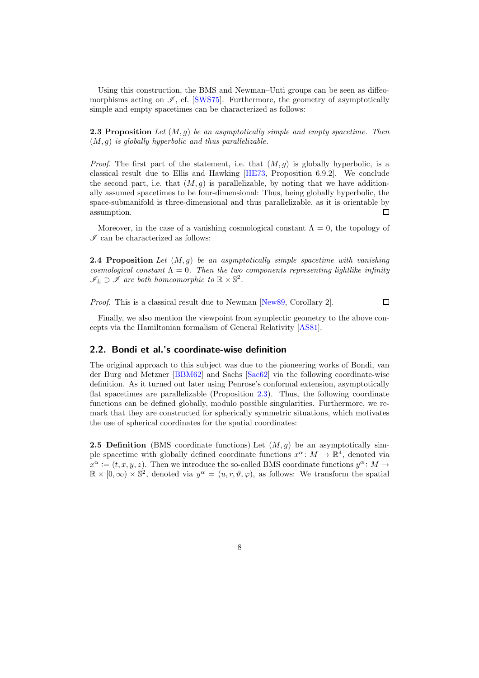<span id="page-7-1"></span>Using this construction, the BMS and Newman–Unti groups can be seen as diffeomorphisms acting on  $\mathscr{I}$ , cf. [\[SWS75\]](#page-27-11). Furthermore, the geometry of asymptotically simple and empty spacetimes can be characterized as follows:

**2.3 Proposition** Let  $(M, q)$  be an asymptotically simple and empty spacetime. Then  $(M, g)$  is globally hyperbolic and thus parallelizable.

*Proof.* The first part of the statement, i.e. that  $(M, g)$  is globally hyperbolic, is a classical result due to Ellis and Hawking [\[HE73,](#page-25-3) Proposition 6.9.2]. We conclude the second part, i.e. that  $(M, q)$  is parallelizable, by noting that we have additionally assumed spacetimes to be four-dimensional: Thus, being globally hyperbolic, the space-submanifold is three-dimensional and thus parallelizable, as it is orientable by  $\Box$ assumption.

Moreover, in the case of a vanishing cosmological constant  $\Lambda = 0$ , the topology of  $\mathscr I$  can be characterized as follows:

**2.4 Proposition** Let  $(M, q)$  be an asymptotically simple spacetime with vanishing cosmological constant  $\Lambda = 0$ . Then the two components representing lightlike infinity  $\mathscr{I}_\pm \supset \tilde{\mathscr{I}}$  are both homeomorphic to  $\mathbb{R} \times \mathbb{S}^2$ .

Proof. This is a classical result due to Newman [\[New89,](#page-26-8) Corollary 2].

 $\Box$ 

Finally, we also mention the viewpoint from symplectic geometry to the above concepts via the Hamiltonian formalism of General Relativity [\[AS81\]](#page-24-3).

#### <span id="page-7-0"></span>2.2. Bondi et al.'s coordinate-wise definition

The original approach to this subject was due to the pioneering works of Bondi, van der Burg and Metzner [\[BBM62\]](#page-24-0) and Sachs [\[Sac62\]](#page-27-0) via the following coordinate-wise definition. As it turned out later using Penrose's conformal extension, asymptotically flat spacetimes are parallelizable (Proposition [2.3\)](#page-7-1). Thus, the following coordinate functions can be defined globally, modulo possible singularities. Furthermore, we remark that they are constructed for spherically symmetric situations, which motivates the use of spherical coordinates for the spatial coordinates:

<span id="page-7-2"></span>**2.5 Definition** (BMS coordinate functions) Let  $(M, q)$  be an asymptotically simple spacetime with globally defined coordinate functions  $x^{\alpha}$ :  $M \to \mathbb{R}^{4}$ , denoted via  $x^{\alpha} := (t, x, y, z)$ . Then we introduce the so-called BMS coordinate functions  $y^{\alpha} : M \to$  $\mathbb{R} \times [0, \infty) \times \mathbb{S}^2$ , denoted via  $y^{\alpha} = (u, r, \vartheta, \varphi)$ , as follows: We transform the spatial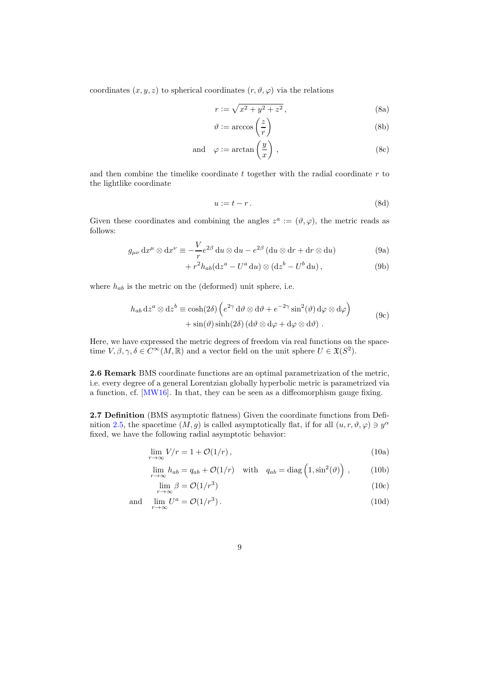coordinates  $(x, y, z)$  to spherical coordinates  $(r, \vartheta, \varphi)$  via the relations

$$
r := \sqrt{x^2 + y^2 + z^2},\tag{8a}
$$

$$
\vartheta := \arccos\left(\frac{z}{r}\right) \tag{8b}
$$

and 
$$
\varphi := \arctan\left(\frac{y}{x}\right)
$$
, (8c)

and then combine the timelike coordinate  $t$  together with the radial coordinate  $r$  to the lightlike coordinate

$$
u := t - r. \tag{8d}
$$

Given these coordinates and combining the angles  $z^a := (\vartheta, \varphi)$ , the metric reads as follows:

$$
g_{\mu\nu} dx^{\mu} \otimes dx^{\nu} \equiv -\frac{V}{r} e^{2\beta} du \otimes du - e^{2\beta} (du \otimes dr + dr \otimes du)
$$
 (9a)

$$
+ r2 hab (dza – Ua du) \otimes (dzb – Ub du), \qquad (9b)
$$

where  $h_{ab}$  is the metric on the (deformed) unit sphere, i.e.

$$
h_{ab} dz^{a} \otimes dz^{b} \equiv \cosh(2\delta) \left( e^{2\gamma} d\vartheta \otimes d\vartheta + e^{-2\gamma} \sin^{2}(\vartheta) d\varphi \otimes d\varphi \right) + \sin(\vartheta) \sinh(2\delta) (d\vartheta \otimes d\varphi + d\varphi \otimes d\vartheta).
$$
 (9c)

Here, we have expressed the metric degrees of freedom via real functions on the spacetime  $V, \beta, \gamma, \delta \in C^{\infty}(M, \mathbb{R})$  and a vector field on the unit sphere  $U \in \mathfrak{X}(S^2)$ .

<span id="page-8-2"></span>2.6 Remark BMS coordinate functions are an optimal parametrization of the metric, i.e. every degree of a general Lorentzian globally hyperbolic metric is parametrized via a function, cf. [\[MW16\]](#page-26-9). In that, they can be seen as a diffeomorphism gauge fixing.

<span id="page-8-0"></span>2.7 Definition (BMS asymptotic flatness) Given the coordinate functions from Defi-nition [2.5,](#page-7-2) the spacetime  $(M, g)$  is called asymptotically flat, if for all  $(u, r, \vartheta, \varphi) \ni y^{\alpha}$ fixed, we have the following radial asymptotic behavior:

$$
\lim_{r \to \infty} V/r = 1 + \mathcal{O}(1/r),\tag{10a}
$$

$$
\lim_{r \to \infty} h_{ab} = q_{ab} + \mathcal{O}(1/r) \quad \text{with} \quad q_{ab} = \text{diag}\left(1, \sin^2(\vartheta)\right) , \tag{10b}
$$

<span id="page-8-1"></span>
$$
\lim_{r \to \infty} \beta = \mathcal{O}(1/r^3) \tag{10c}
$$

and 
$$
\lim_{r \to \infty} U^a = \mathcal{O}(1/r^3).
$$
 (10d)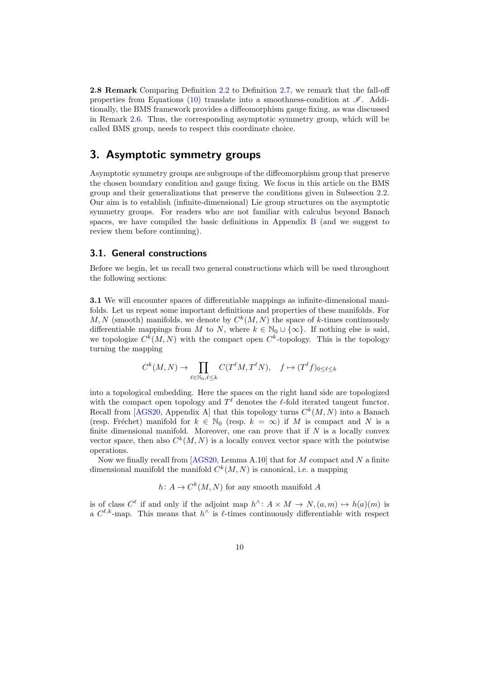2.8 Remark Comparing Definition [2.2](#page-6-3) to Definition [2.7,](#page-8-0) we remark that the fall-off properties from Equations [\(10\)](#page-8-1) translate into a smoothness-condition at  $\mathscr{I}$ . Additionally, the BMS framework provides a diffeomorphism gauge fixing, as was discussed in Remark [2.6.](#page-8-2) Thus, the corresponding asymptotic symmetry group, which will be called BMS group, needs to respect this coordinate choice.

## <span id="page-9-0"></span>3. Asymptotic symmetry groups

Asymptotic symmetry groups are subgroups of the diffeomorphism group that preserve the chosen boundary condition and gauge fixing. We focus in this article on the BMS group and their generalizations that preserve the conditions given in Subsection [2.2.](#page-7-0) Our aim is to establish (infinite-dimensional) Lie group structures on the asymptotic symmetry groups. For readers who are not familiar with calculus beyond Banach spaces, we have compiled the basic definitions in Appendix [B](#page-22-0) (and we suggest to review them before continuing).

#### <span id="page-9-1"></span>3.1. General constructions

<span id="page-9-2"></span>Before we begin, let us recall two general constructions which will be used throughout the following sections:

3.1 We will encounter spaces of differentiable mappings as infinite-dimensional manifolds. Let us repeat some important definitions and properties of these manifolds. For  $M, N$  (smooth) manifolds, we denote by  $C^k(M, N)$  the space of k-times continuously differentiable mappings from M to N, where  $k \in \mathbb{N}_0 \cup \{\infty\}$ . If nothing else is said, we topologize  $C^k(M, N)$  with the compact open  $C^k$ -topology. This is the topology turning the mapping

$$
C^k(M, N) \to \prod_{\ell \in \mathbb{N}_0, \ell \le k} C(T^{\ell}M, T^{\ell}N), \quad f \mapsto (T^{\ell}f)_{0 \le \ell \le k}
$$

into a topological embedding. Here the spaces on the right hand side are topologized with the compact open topology and  $T^{\ell}$  denotes the  $\ell$ -fold iterated tangent functor. Recall from [\[AGS20,](#page-24-4) Appendix A] that this topology turns  $C^k(M, N)$  into a Banach (resp. Fréchet) manifold for  $k \in \mathbb{N}_0$  (resp.  $k = \infty$ ) if M is compact and N is a finite dimensional manifold. Moreover, one can prove that if  $N$  is a locally convex vector space, then also  $C^k(M, N)$  is a locally convex vector space with the pointwise operations.

Now we finally recall from  $[AGS20, \text{Lemma A.10}]$  that for M compact and N a finite dimensional manifold the manifold  $C^k(M, N)$  is canonical, i.e. a mapping

 $h\colon A\to C^k(M,N)$  for any smooth manifold A

is of class  $C^{\ell}$  if and only if the adjoint map  $h^{\wedge} : A \times M \to N$ ,  $(a, m) \mapsto h(a)(m)$  is a  $C^{\ell,k}$ -map. This means that  $h^{\wedge}$  is  $\ell$ -times continuously differentiable with respect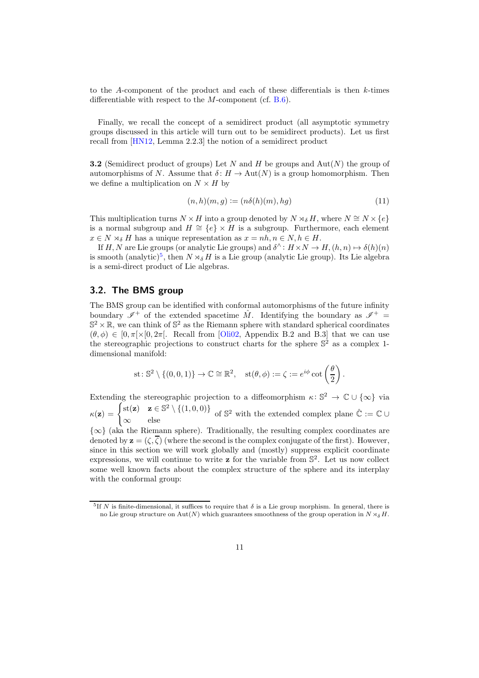to the A-component of the product and each of these differentials is then k-times differentiable with respect to the  $M$ -component (cf. [B.6\)](#page-23-2).

Finally, we recall the concept of a semidirect product (all asymptotic symmetry groups discussed in this article will turn out to be semidirect products). Let us first recall from [\[HN12,](#page-26-10) Lemma 2.2.3] the notion of a semidirect product

**3.2** (Semidirect product of groups) Let N and H be groups and  $\text{Aut}(N)$  the group of automorphisms of N. Assume that  $\delta: H \to \text{Aut}(N)$  is a group homomorphism. Then we define a multiplication on  $N \times H$  by

$$
(n,h)(m,g) := (n\delta(h)(m),hg) \tag{11}
$$

This multiplication turns  $N \times H$  into a group denoted by  $N \rtimes_{\delta} H$ , where  $N \cong N \times \{e\}$ is a normal subgroup and  $H \cong \{e\} \times H$  is a subgroup. Furthermore, each element  $x \in N \rtimes_{\delta} H$  has a unique representation as  $x = nh, n \in N, h \in H$ .

If H, N are Lie groups (or analytic Lie groups) and  $\delta^{\wedge}$ :  $H \times N \to H$ ,  $(h, n) \mapsto \delta(h)(n)$ is smooth (analytic)<sup>[5](#page-10-1)</sup>, then  $N \rtimes_{\delta} H$  is a Lie group (analytic Lie group). Its Lie algebra is a semi-direct product of Lie algebras.

#### <span id="page-10-0"></span>3.2. The BMS group

The BMS group can be identified with conformal automorphisms of the future infinity boundary  $\mathscr{I}^+$  of the extended spacetime  $\hat{M}$ . Identifying the boundary as  $\mathscr{I}^+$  $\mathbb{S}^2 \times \mathbb{R}$ , we can think of  $\mathbb{S}^2$  as the Riemann sphere with standard spherical coordinates  $(\theta, \phi) \in [0, \pi] \times [0, 2\pi]$ . Recall from [\[Oli02,](#page-27-12) Appendix B.2 and B.3] that we can use the stereographic projections to construct charts for the sphere  $\mathbb{S}^2$  as a complex 1dimensional manifold:

st: 
$$
\mathbb{S}^2 \setminus \{(0,0,1)\} \to \mathbb{C} \cong \mathbb{R}^2
$$
,  $st(\theta, \phi) := \zeta := e^{i\phi} \cot\left(\frac{\theta}{2}\right)$ .

Extending the stereographic projection to a diffeomorphism  $\kappa: \mathbb{S}^2 \to \mathbb{C} \cup \{\infty\}$  via  $\kappa(\mathbf{z}) = \begin{cases} \text{st}(\mathbf{z}) & \mathbf{z} \in \mathbb{S}^2 \setminus \{ (1, 0, 0) \} \\ 0 & \mathbf{z} \end{cases}$ ∞ else of  $\mathbb{S}^2$  with the extended complex plane  $\hat{\mathbb{C}} := \mathbb{C} \cup$ 

 ${\infty}$  (aka the Riemann sphere). Traditionally, the resulting complex coordinates are denoted by  $\mathbf{z} = (\zeta, \overline{\zeta})$  (where the second is the complex conjugate of the first). However, since in this section we will work globally and (mostly) suppress explicit coordinate expressions, we will continue to write  $\mathbf{z}$  for the variable from  $\mathbb{S}^2$ . Let us now collect some well known facts about the complex structure of the sphere and its interplay with the conformal group:

<span id="page-10-1"></span><sup>&</sup>lt;sup>5</sup>If N is finite-dimensional, it suffices to require that  $\delta$  is a Lie group morphism. In general, there is no Lie group structure on Aut(N) which guarantees smoothness of the group operation in  $N \rtimes_{\delta} H$ .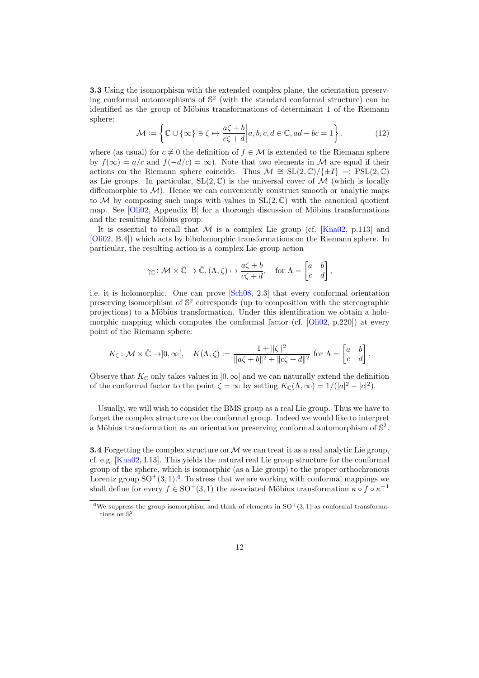3.3 Using the isomorphism with the extended complex plane, the orientation preserving conformal automorphisms of  $\mathbb{S}^2$  (with the standard conformal structure) can be identified as the group of Möbius transformations of determinant 1 of the Riemann sphere:

$$
\mathcal{M} := \left\{ \mathbb{C} \cup \{ \infty \} \ni \zeta \mapsto \frac{a\zeta + b}{c\zeta + d} \middle| a, b, c, d \in \mathbb{C}, ad - bc = 1 \right\}.
$$
 (12)

where (as usual) for  $c \neq 0$  the definition of  $f \in \mathcal{M}$  is extended to the Riemann sphere by  $f(\infty) = a/c$  and  $f(-d/c) = \infty$ ). Note that two elements in M are equal if their actions on the Riemann sphere coincide. Thus  $\mathcal{M} \cong SL(2,\mathbb{C})/\{\pm I\} =: PSL(2,\mathbb{C})$ as Lie groups. In particular,  $SL(2,\mathbb{C})$  is the universal cover of M (which is locally diffeomorphic to  $\mathcal{M}$ ). Hence we can conveniently construct smooth or analytic maps to M by composing such maps with values in  $SL(2,\mathbb{C})$  with the canonical quotient map. See [\[Oli02,](#page-27-12) Appendix B] for a thorough discussion of Möbius transformations and the resulting Möbius group.

It is essential to recall that M is a complex Lie group (cf.  $[Kna02, p.113]$  and [\[Oli02,](#page-27-12) B.4]) which acts by biholomorphic transformations on the Riemann sphere. In particular, the resulting action is a complex Lie group action

$$
\gamma_{\mathbb{C}} \colon \mathcal{M} \times \hat{\mathbb{C}} \to \hat{\mathbb{C}}, (\Lambda, \zeta) \mapsto \frac{a\zeta + b}{c\zeta + d}, \quad \text{for } \Lambda = \begin{bmatrix} a & b \\ c & d \end{bmatrix},
$$

i.e. it is holomorphic. One can prove [\[Sch08,](#page-27-13) 2.3] that every conformal orientation preserving isomorphism of S 2 corresponds (up to composition with the stereographic projections) to a Möbius transformation. Under this identification we obtain a holo-morphic mapping which computes the conformal factor (cf. [\[Oli02,](#page-27-12) p.220]) at every point of the Riemann sphere:

$$
K_{\mathbb{C}}\colon \mathcal{M}\times\hat{\mathbb{C}}\to]0,\infty[,\quad K(\Lambda,\zeta):=\frac{1+\|\zeta\|^2}{\|a\zeta+b\|^2+\|c\zeta+d\|^2}\text{ for }\Lambda=\begin{bmatrix}a&b\\c&d\end{bmatrix}.
$$

Observe that  $K_{\mathbb{C}}$  only takes values in  $]0,\infty[$  and we can naturally extend the definition of the conformal factor to the point  $\zeta = \infty$  by setting  $K_{\mathbb{C}}(\Lambda, \infty) = 1/(|a|^2 + |c|^2)$ .

Usually, we will wish to consider the BMS group as a real Lie group. Thus we have to forget the complex structure on the conformal group. Indeed we would like to interpret a Möbius transformation as an orientation preserving conformal automorphism of  $\mathbb{S}^2$ .

**3.4** Forgetting the complex structure on  $M$  we can treat it as a real analytic Lie group, cf. e.g. [\[Kna02,](#page-26-11) I.13]. This yields the natural real Lie group structure for the conformal group of the sphere, which is isomorphic (as a Lie group) to the proper orthochronous Lorentz group  $SO^+(3,1)$ .<sup>[6](#page-11-0)</sup> To stress that we are working with conformal mappings we shall define for every  $f \in SO^+(3,1)$  the associated Möbius transformation  $\kappa \circ f \circ \kappa^{-1}$ 

<span id="page-11-0"></span><sup>&</sup>lt;sup>6</sup>We suppress the group isomorphism and think of elements in  $SO^+(3,1)$  as conformal transformations on S 2 .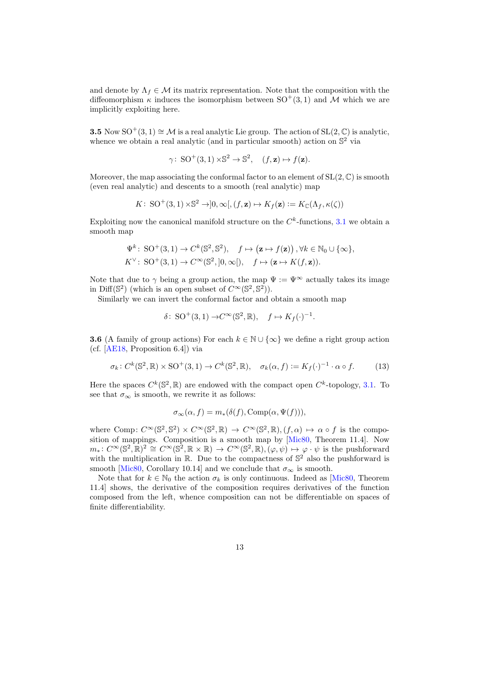and denote by  $\Lambda_f \in \mathcal{M}$  its matrix representation. Note that the composition with the diffeomorphism  $\kappa$  induces the isomorphism between SO<sup>+</sup>(3,1) and M which we are implicitly exploiting here.

3.5 Now SO<sup>+</sup>(3, 1) ≅ M is a real analytic Lie group. The action of SL(2,  $\mathbb{C}$ ) is analytic, whence we obtain a real analytic (and in particular smooth) action on  $\mathbb{S}^2$  via

$$
\gamma\colon \operatorname{SO}^+(3,1) \times \mathbb{S}^2 \to \mathbb{S}^2, \quad (f,\mathbf{z}) \mapsto f(\mathbf{z}).
$$

Moreover, the map associating the conformal factor to an element of  $SL(2,\mathbb{C})$  is smooth (even real analytic) and descents to a smooth (real analytic) map

$$
K\colon \operatorname{SO}^+(3,1) \times \mathbb{S}^2 \to ]0,\infty[, (f,\mathbf{z}) \mapsto K_f(\mathbf{z}) := K_{\mathbb{C}}(\Lambda_f, \kappa(\zeta))
$$

Exploiting now the canonical manifold structure on the  $C<sup>k</sup>$ -functions, [3.1](#page-9-2) we obtain a smooth map

$$
\Psi^k\colon SO^+(3,1)\to C^k(\mathbb{S}^2,\mathbb{S}^2), \quad f\mapsto (\mathbf{z}\mapsto f(\mathbf{z}))\,, \forall k\in\mathbb{N}_0\cup\{\infty\},\\ K^\vee\colon SO^+(3,1)\to C^\infty(\mathbb{S}^2,]0,\infty[), \quad f\mapsto (\mathbf{z}\mapsto K(f,\mathbf{z})).
$$

Note that due to  $\gamma$  being a group action, the map  $\Psi := \Psi^{\infty}$  actually takes its image in Diff( $\mathbb{S}^2$ ) (which is an open subset of  $C^{\infty}(\mathbb{S}^2, \mathbb{S}^2)$ ).

Similarly we can invert the conformal factor and obtain a smooth map

$$
\delta\colon \operatorname{SO}^+(3,1) \to C^\infty(\mathbb{S}^2,\mathbb{R}), \quad f \mapsto K_f(\cdot)^{-1}.
$$

**3.6** (A family of group actions) For each  $k \in \mathbb{N} \cup \{\infty\}$  we define a right group action (cf. [\[AE18,](#page-24-5) Proposition 6.4]) via

$$
\sigma_k \colon C^k(\mathbb{S}^2, \mathbb{R}) \times \text{SO}^+(3, 1) \to C^k(\mathbb{S}^2, \mathbb{R}), \quad \sigma_k(\alpha, f) := K_f(\cdot)^{-1} \cdot \alpha \circ f. \tag{13}
$$

Here the spaces  $C^k(\mathbb{S}^2,\mathbb{R})$  are endowed with the compact open  $C^k$ -topology, [3.1.](#page-9-2) To see that  $\sigma_{\infty}$  is smooth, we rewrite it as follows:

<span id="page-12-0"></span>
$$
\sigma_{\infty}(\alpha, f) = m_{*}(\delta(f), \text{Comp}(\alpha, \Psi(f))),
$$

where Comp:  $C^{\infty}(\mathbb{S}^2, \mathbb{S}^2) \times C^{\infty}(\mathbb{S}^2, \mathbb{R}) \to C^{\infty}(\mathbb{S}^2, \mathbb{R}), (f, \alpha) \mapsto \alpha \circ f$  is the composition of mappings. Composition is a smooth map by [\[Mic80,](#page-26-12) Theorem 11.4]. Now  $m_*\colon C^{\infty}(\mathbb{S}^2,\mathbb{R})^2 \cong C^{\infty}(\mathbb{S}^2,\mathbb{R} \times \mathbb{R}) \to C^{\infty}(\mathbb{S}^2,\mathbb{R}), (\varphi,\psi) \mapsto \varphi \cdot \psi$  is the pushforward with the multiplication in  $\mathbb{R}$ . Due to the compactness of  $\mathbb{S}^2$  also the pushforward is smooth [\[Mic80,](#page-26-12) Corollary 10.14] and we conclude that  $\sigma_{\infty}$  is smooth.

Note that for  $k \in \mathbb{N}_0$  the action  $\sigma_k$  is only continuous. Indeed as [\[Mic80,](#page-26-12) Theorem 11.4] shows, the derivative of the composition requires derivatives of the function composed from the left, whence composition can not be differentiable on spaces of finite differentiability.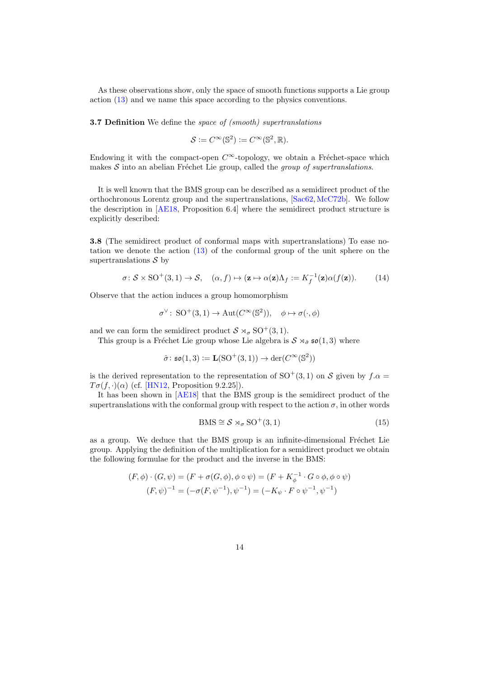As these observations show, only the space of smooth functions supports a Lie group action [\(13\)](#page-12-0) and we name this space according to the physics conventions.

3.7 Definition We define the space of (smooth) supertranslations

$$
\mathcal{S} := C^{\infty}(\mathbb{S}^2) := C^{\infty}(\mathbb{S}^2, \mathbb{R}).
$$

Endowing it with the compact-open  $C^{\infty}$ -topology, we obtain a Fréchet-space which makes  $\mathcal S$  into an abelian Fréchet Lie group, called the group of supertranslations.

It is well known that the BMS group can be described as a semidirect product of the orthochronous Lorentz group and the supertranslations, [\[Sac62,](#page-27-0) [McC72b\]](#page-26-5). We follow the description in [\[AE18,](#page-24-5) Proposition 6.4] where the semidirect product structure is explicitly described:

<span id="page-13-0"></span>3.8 (The semidirect product of conformal maps with supertranslations) To ease notation we denote the action [\(13\)](#page-12-0) of the conformal group of the unit sphere on the supertranslations  $\mathcal S$  by

$$
\sigma \colon \mathcal{S} \times \mathrm{SO}^+(3,1) \to \mathcal{S}, \quad (\alpha, f) \mapsto (\mathbf{z} \mapsto \alpha(\mathbf{z})\Lambda_f := K_f^{-1}(\mathbf{z})\alpha(f(\mathbf{z})). \tag{14}
$$

Observe that the action induces a group homomorphism

$$
\sigma^{\vee} \colon \mathrm{SO}^+(3,1) \to \mathrm{Aut}(C^{\infty}(\mathbb{S}^2)), \quad \phi \mapsto \sigma(\cdot,\phi)
$$

and we can form the semidirect product  $S \rtimes_{\sigma} SO^+(3,1)$ .

This group is a Fréchet Lie group whose Lie algebra is  $S \rtimes_{\hat{\sigma}} \mathfrak{so}(1,3)$  where

$$
\hat{\sigma}\colon \mathfrak{so}(1,3) \mathrel{\mathop:}= \mathbf{L}(\mathrm{SO}^+(3,1)) \to \mathrm{der}(C^\infty(\mathbb{S}^2))
$$

is the derived representation to the representation of SO<sup>+</sup>(3, 1) on S given by  $f.\alpha =$  $T\sigma(f, \cdot)(\alpha)$  (cf. [\[HN12,](#page-26-10) Proposition 9.2.25]).

It has been shown in [\[AE18\]](#page-24-5) that the BMS group is the semidirect product of the supertranslations with the conformal group with respect to the action  $\sigma$ , in other words

<span id="page-13-1"></span>
$$
BMS \cong \mathcal{S} \rtimes_{\sigma} SO^{+}(3,1) \tag{15}
$$

as a group. We deduce that the BMS group is an infinite-dimensional Fréchet Lie group. Applying the definition of the multiplication for a semidirect product we obtain the following formulae for the product and the inverse in the BMS:

$$
(F, \phi) \cdot (G, \psi) = (F + \sigma(G, \phi), \phi \circ \psi) = (F + K_{\phi}^{-1} \cdot G \circ \phi, \phi \circ \psi)
$$

$$
(F, \psi)^{-1} = (-\sigma(F, \psi^{-1}), \psi^{-1}) = (-K_{\psi} \cdot F \circ \psi^{-1}, \psi^{-1})
$$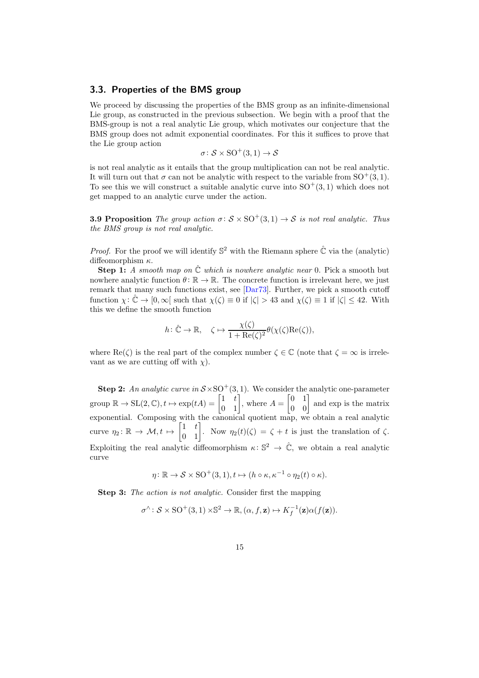#### <span id="page-14-0"></span>3.3. Properties of the BMS group

We proceed by discussing the properties of the BMS group as an infinite-dimensional Lie group, as constructed in the previous subsection. We begin with a proof that the BMS-group is not a real analytic Lie group, which motivates our conjecture that the BMS group does not admit exponential coordinates. For this it suffices to prove that the Lie group action

$$
\sigma\colon \mathcal{S}\times \mathrm{SO}^+(3,1)\to \mathcal{S}
$$

is not real analytic as it entails that the group multiplication can not be real analytic. It will turn out that  $\sigma$  can not be analytic with respect to the variable from SO<sup>+</sup>(3, 1). To see this we will construct a suitable analytic curve into  $SO^+(3,1)$  which does not get mapped to an analytic curve under the action.

<span id="page-14-1"></span>**3.9 Proposition** The group action  $\sigma: \mathcal{S} \times SO^+(3,1) \rightarrow \mathcal{S}$  is not real analytic. Thus the BMS group is not real analytic.

*Proof.* For the proof we will identify  $\mathbb{S}^2$  with the Riemann sphere  $\hat{\mathbb{C}}$  via the (analytic) diffeomorphism  $\kappa$ .

**Step 1:** A smooth map on  $\hat{C}$  which is nowhere analytic near 0. Pick a smooth but nowhere analytic function  $\theta \colon \mathbb{R} \to \mathbb{R}$ . The concrete function is irrelevant here, we just remark that many such functions exist, see [\[Dar73\]](#page-25-4). Further, we pick a smooth cutoff function  $\chi: \mathbb{C} \to [0,\infty]$  such that  $\chi(\zeta) \equiv 0$  if  $|\zeta| > 43$  and  $\chi(\zeta) \equiv 1$  if  $|\zeta| \leq 42$ . With this we define the smooth function

$$
h\colon \hat{\mathbb{C}} \to \mathbb{R}, \quad \zeta \mapsto \frac{\chi(\zeta)}{1 + \text{Re}(\zeta)^2} \theta(\chi(\zeta)\text{Re}(\zeta)),
$$

where  $\text{Re}(\zeta)$  is the real part of the complex number  $\zeta \in \mathbb{C}$  (note that  $\zeta = \infty$  is irrelevant as we are cutting off with  $\chi$ ).

**Step 2:** An analytic curve in  $S \times SO^+(3, 1)$ . We consider the analytic one-parameter group  $\mathbb{R} \to SL(2,\mathbb{C}), t \mapsto \exp(tA) = \begin{bmatrix} 1 & t \\ 0 & 1 \end{bmatrix}$ , where  $A =$  $\begin{bmatrix} 0 & 1 \\ 0 & 0 \end{bmatrix}$  and exp is the matrix exponential. Composing with the canonical quotient map, we obtain a real analytic curve  $\eta_2 \colon \mathbb{R} \to \mathcal{M}, t \mapsto \begin{bmatrix} 1 & t \\ 0 & 1 \end{bmatrix}$ . Now  $\eta_2(t)(\zeta) = \zeta + t$  is just the translation of  $\zeta$ . Exploiting the real analytic diffeomorphism  $\kappa: \mathbb{S}^2 \to \hat{\mathbb{C}}$ , we obtain a real analytic curve

$$
\eta \colon \mathbb{R} \to \mathcal{S} \times \mathrm{SO}^+(3,1), t \mapsto (h \circ \kappa, \kappa^{-1} \circ \eta_2(t) \circ \kappa).
$$

Step 3: The action is not analytic. Consider first the mapping

$$
\sigma^{\wedge} \colon \mathcal{S} \times \mathrm{SO}^+(3,1) \times \mathbb{S}^2 \to \mathbb{R}, (\alpha, f, \mathbf{z}) \mapsto K_f^{-1}(\mathbf{z}) \alpha(f(\mathbf{z})).
$$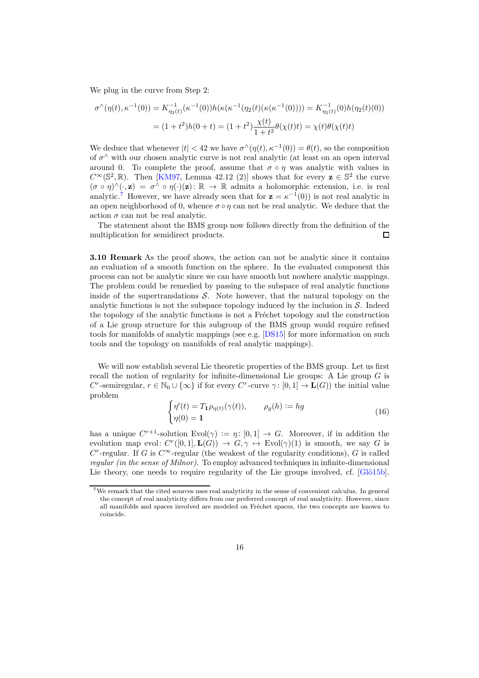We plug in the curve from Step 2:

$$
\sigma^{\wedge}(\eta(t), \kappa^{-1}(0)) = K_{\eta_2(t)}^{-1}(\kappa^{-1}(0))h(\kappa(\kappa^{-1}(\eta_2(t)(\kappa(\kappa^{-1}(0)))) = K_{\eta_2(t)}^{-1}(0)h(\eta_2(t)(0)))
$$

$$
= (1+t^2)h(0+t) = (1+t^2)\frac{\chi(t)}{1+t^2}\theta(\chi(t)t) = \chi(t)\theta(\chi(t)t)
$$

We deduce that whenever  $|t| < 42$  we have  $\sigma^{\wedge}(\eta(t), \kappa^{-1}(0)) = \theta(t)$ , so the composition of  $\sigma^{\wedge}$  with our chosen analytic curve is not real analytic (at least on an open interval around 0. To complete the proof, assume that  $\sigma \circ \eta$  was analytic with values in  $C^{\infty}(\mathbb{S}^2, \mathbb{R})$ . Then [\[KM97,](#page-26-2) Lemma 42.12 (2)] shows that for every  $z \in \mathbb{S}^2$  the curve  $(\sigma \circ \eta)^{\wedge}(\cdot, \mathbf{z}) = \sigma^{\wedge} \circ \eta(\cdot)(\mathbf{z}) : \mathbb{R} \to \mathbb{R}$  admits a holomorphic extension, i.e. is real analytic.<sup>[7](#page-15-0)</sup> However, we have already seen that for  $z = \kappa^{-1}(0)$  is not real analytic in an open neighborhood of 0, whence  $\sigma \circ \eta$  can not be real analytic. We deduce that the action  $\sigma$  can not be real analytic.

The statement about the BMS group now follows directly from the definition of the multiplication for semidirect products.  $\Box$ 

**3.10 Remark** As the proof shows, the action can not be analytic since it contains an evaluation of a smooth function on the sphere. In the evaluated component this process can not be analytic since we can have smooth but nowhere analytic mappings. The problem could be remedied by passing to the subspace of real analytic functions inside of the supertranslations  $S$ . Note however, that the natural topology on the analytic functions is not the subspace topology induced by the inclusion in  $S$ . Indeed the topology of the analytic functions is not a Fréchet topology and the construction of a Lie group structure for this subgroup of the BMS group would require refined tools for manifolds of analytic mappings (see e.g. [\[DS15\]](#page-25-5) for more information on such tools and the topology on manifolds of real analytic mappings).

We will now establish several Lie theoretic properties of the BMS group. Let us first recall the notion of regularity for infinite-dimensional Lie groups: A Lie group  $G$  is C<sup>r</sup>-semiregular,  $r \in \mathbb{N}_0 \cup \{\infty\}$  if for every C<sup>r</sup>-curve  $\gamma: [0,1] \to \mathbf{L}(G)$  the initial value problem

$$
\begin{cases}\n\eta'(t) = T_1 \rho_{\eta(t)}(\gamma(t)), & \rho_g(h) := hg \\
\eta(0) = 1\n\end{cases}
$$
\n(16)

has a unique  $C^{r+1}$ -solution  $Evol(\gamma) := \eta: [0,1] \to G$ . Moreover, if in addition the evolution map evol:  $C^r([0,1], \mathbf{L}(G)) \to G, \gamma \mapsto \text{Evol}(\gamma)(1)$  is smooth, we say G is  $C^r$ -regular. If G is  $C^{\infty}$ -regular (the weakest of the regularity conditions), G is called regular (in the sense of Milnor). To employ advanced techniques in infinite-dimensional Lie theory, one needs to require regularity of the Lie groups involved, cf.  $[GJ\ddot{o}15b]$ .

<span id="page-15-0"></span><sup>7</sup>We remark that the cited sources uses real analyticity in the sense of convenient calculus. In general the concept of real analyticity differs from our preferred concept of real analyticity. However, since all manifolds and spaces involved are modeled on Fréchet spaces, the two concepts are known to coincide.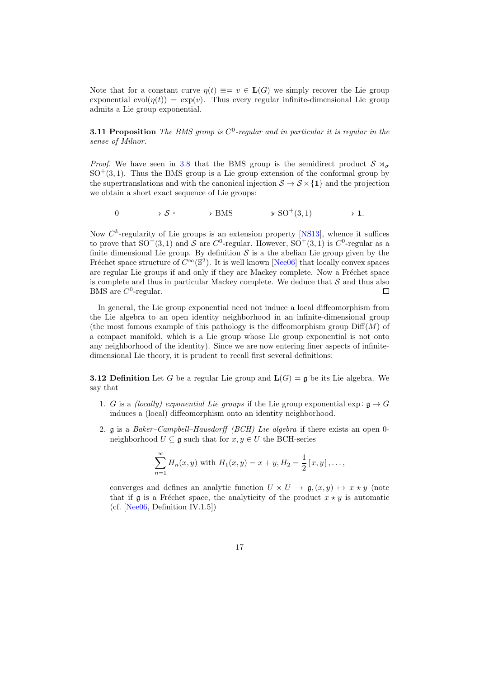<span id="page-16-0"></span>Note that for a constant curve  $\eta(t) \equiv v \in L(G)$  we simply recover the Lie group exponential  $evol(\eta(t)) = exp(v)$ . Thus every regular infinite-dimensional Lie group admits a Lie group exponential.

**3.11 Proposition** The BMS group is  $C^0$ -regular and in particular it is regular in the sense of Milnor.

*Proof.* We have seen in [3.8](#page-13-0) that the BMS group is the semidirect product  $S \rtimes_{\sigma}$  $SO<sup>+</sup>(3, 1)$ . Thus the BMS group is a Lie group extension of the conformal group by the supertranslations and with the canonical injection  $S \to S \times \{1\}$  and the projection we obtain a short exact sequence of Lie groups:

 $0 \longrightarrow S \longrightarrow BMS \longrightarrow SO^{+}(3, 1) \longrightarrow 1.$ 

Now  $C^k$ -regularity of Lie groups is an extension property [\[NS13\]](#page-27-14), whence it suffices to prove that  $SO^+(3,1)$  and S are  $C^0$ -regular. However,  $SO^+(3,1)$  is  $C^0$ -regular as a finite dimensional Lie group. By definition  $\mathcal S$  is a the abelian Lie group given by the Fréchet space structure of  $C^{\infty}(\mathbb{S}^2)$ . It is well known [\[Nee06\]](#page-26-3) that locally convex spaces are regular Lie groups if and only if they are Mackey complete. Now a Fréchet space is complete and thus in particular Mackey complete. We deduce that  $S$  and thus also BMS are  $C^0$ -regular. BMS are  $C^0$ -regular.

In general, the Lie group exponential need not induce a local diffeomorphism from the Lie algebra to an open identity neighborhood in an infinite-dimensional group (the most famous example of this pathology is the diffeomorphism group  $\text{Diff}(M)$  of a compact manifold, which is a Lie group whose Lie group exponential is not onto any neighborhood of the identity). Since we are now entering finer aspects of infinitedimensional Lie theory, it is prudent to recall first several definitions:

**3.12 Definition** Let G be a regular Lie group and  $L(G) = \mathfrak{g}$  be its Lie algebra. We say that

- 1. G is a *(locally) exponential Lie groups* if the Lie group exponential exp:  $\mathfrak{g} \to G$ induces a (local) diffeomorphism onto an identity neighborhood.
- 2. g is a Baker–Campbell–Hausdorff (BCH) Lie algebra if there exists an open 0 neighborhood  $U \subseteq \mathfrak{g}$  such that for  $x, y \in U$  the BCH-series

$$
\sum_{n=1}^{\infty} H_n(x, y) \text{ with } H_1(x, y) = x + y, H_2 = \frac{1}{2} [x, y], \dots,
$$

converges and defines an analytic function  $U \times U \rightarrow \mathfrak{g}, (x, y) \mapsto x \star y$  (note that if g is a Fréchet space, the analyticity of the product  $x \star y$  is automatic (cf. [\[Nee06,](#page-26-3) Definition IV.1.5])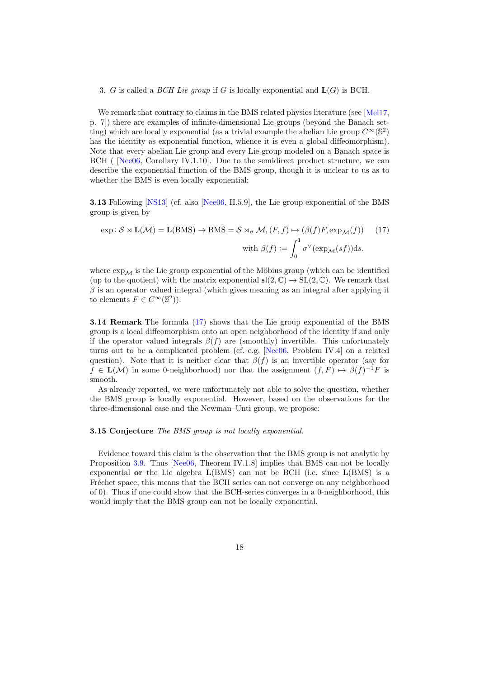#### 3. G is called a BCH Lie group if G is locally exponential and  $L(G)$  is BCH.

We remark that contrary to claims in the BMS related physics literature (see [\[Mel17,](#page-26-6) p. 7]) there are examples of infinite-dimensional Lie groups (beyond the Banach setting) which are locally exponential (as a trivial example the abelian Lie group  $C^{\infty}(\mathbb{S}^2)$ has the identity as exponential function, whence it is even a global diffeomorphism). Note that every abelian Lie group and every Lie group modeled on a Banach space is BCH ( [\[Nee06,](#page-26-3) Corollary IV.1.10]. Due to the semidirect product structure, we can describe the exponential function of the BMS group, though it is unclear to us as to whether the BMS is even locally exponential:

3.13 Following [\[NS13\]](#page-27-14) (cf. also [\[Nee06,](#page-26-3) II.5.9], the Lie group exponential of the BMS group is given by

<span id="page-17-0"></span>
$$
\exp: \mathcal{S} \rtimes \mathbf{L}(\mathcal{M}) = \mathbf{L}(\text{BMS}) \to \text{BMS} = \mathcal{S} \rtimes_{\sigma} \mathcal{M}, (F, f) \mapsto (\beta(f)F, \exp_{\mathcal{M}}(f)) \tag{17}
$$
  

$$
\text{with } \beta(f) := \int_{0}^{1} \sigma^{\vee}(\exp_{\mathcal{M}}(sf))ds.
$$

where  $\exp_{\mathcal{M}}$  is the Lie group exponential of the Möbius group (which can be identified (up to the quotient) with the matrix exponential  $\mathfrak{sl}(2,\mathbb{C}) \to SL(2,\mathbb{C})$ . We remark that  $\beta$  is an operator valued integral (which gives meaning as an integral after applying it to elements  $F \in C^{\infty}(\mathbb{S}^2)$ .

3.14 Remark The formula [\(17\)](#page-17-0) shows that the Lie group exponential of the BMS group is a local diffeomorphism onto an open neighborhood of the identity if and only if the operator valued integrals  $\beta(f)$  are (smoothly) invertible. This unfortunately turns out to be a complicated problem (cf. e.g. [\[Nee06,](#page-26-3) Problem IV.4] on a related question). Note that it is neither clear that  $\beta(f)$  is an invertible operator (say for  $f \in \mathbf{L}(\mathcal{M})$  in some 0-neighborhood) nor that the assignment  $(f, F) \mapsto \beta(f)^{-1}F$  is smooth.

<span id="page-17-1"></span>As already reported, we were unfortunately not able to solve the question, whether the BMS group is locally exponential. However, based on the observations for the three-dimensional case and the Newman–Unti group, we propose:

#### 3.15 Conjecture The BMS group is not locally exponential.

Evidence toward this claim is the observation that the BMS group is not analytic by Proposition [3.9.](#page-14-1) Thus [\[Nee06,](#page-26-3) Theorem IV.1.8] implies that BMS can not be locally exponential or the Lie algebra  $L(BMS)$  can not be BCH (i.e. since  $L(BMS)$  is a Fréchet space, this means that the BCH series can not converge on any neighborhood of 0). Thus if one could show that the BCH-series converges in a 0-neighborhood, this would imply that the BMS group can not be locally exponential.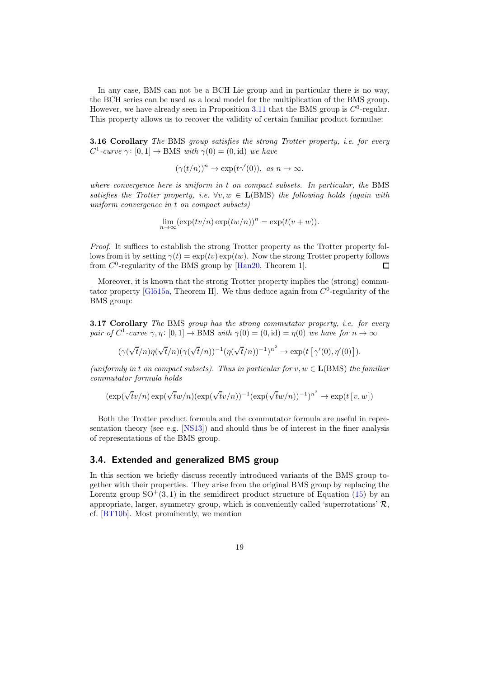In any case, BMS can not be a BCH Lie group and in particular there is no way, the BCH series can be used as a local model for the multiplication of the BMS group. However, we have already seen in Proposition  $3.11$  that the BMS group is  $C^0$ -regular. This property allows us to recover the validity of certain familiar product formulae:

<span id="page-18-1"></span>**3.16 Corollary** The BMS group satisfies the strong Trotter property, i.e. for every  $C^1$ -curve  $\gamma: [0,1] \to \text{BMS}$  with  $\gamma(0) = (0, \text{id})$  we have

 $(\gamma(t/n))^n \to \exp(t\gamma'(0)), \text{ as } n \to \infty.$ 

where convergence here is uniform in  $t$  on compact subsets. In particular, the BMS satisfies the Trotter property, i.e.  $\forall v, w \in \mathbf{L}(\text{BMS})$  the following holds (again with uniform convergence in t on compact subsets)

 $\lim_{n\to\infty} (\exp(tv/n)\exp(tw/n))^n = \exp(t(v+w)).$ 

Proof. It suffices to establish the strong Trotter property as the Trotter property follows from it by setting  $\gamma(t) = \exp(tv) \exp(tw)$ . Now the strong Trotter property follows from  $C^0$ -regularity of the BMS group by [\[Han20,](#page-25-7) Theorem 1].  $\Box$ 

<span id="page-18-2"></span>Moreover, it is known that the strong Trotter property implies the (strong) commutator property [Glö15a, Theorem H]. We thus deduce again from  $C^0$ -regularity of the BMS group:

**3.17 Corollary** The BMS group has the strong commutator property, *i.e.* for every pair of  $C^1$ -curve  $\gamma, \eta \colon [0,1] \to \text{BMS}$  with  $\gamma(0) = (0, \text{id}) = \eta(0)$  we have for  $n \to \infty$ 

$$
(\gamma(\sqrt{t}/n)\eta(\sqrt{t}/n)(\gamma(\sqrt{t}/n))^{-1}(\eta(\sqrt{t}/n))^{-1})^{n^2} \to \exp(t\left[\gamma'(0),\eta'(0)\right]).
$$

(uniformly in t on compact subsets). Thus in particular for  $v, w \in L(BMS)$  the familiar commutator formula holds

$$
(\exp(\sqrt{t}v/n)\exp(\sqrt{t}w/n)(\exp(\sqrt{t}v/n))^{-1}(\exp(\sqrt{t}w/n))^{-1})^{n^2} \to \exp(t[v,w])
$$

Both the Trotter product formula and the commutator formula are useful in representation theory (see e.g. [\[NS13\]](#page-27-14)) and should thus be of interest in the finer analysis of representations of the BMS group.

#### <span id="page-18-0"></span>3.4. Extended and generalized BMS group

In this section we briefly discuss recently introduced variants of the BMS group together with their properties. They arise from the original BMS group by replacing the Lorentz group  $SO^+(3,1)$  in the semidirect product structure of Equation [\(15\)](#page-13-1) by an appropriate, larger, symmetry group, which is conveniently called 'superrotations'  $\mathcal{R}$ , cf. [\[BT10b\]](#page-24-6). Most prominently, we mention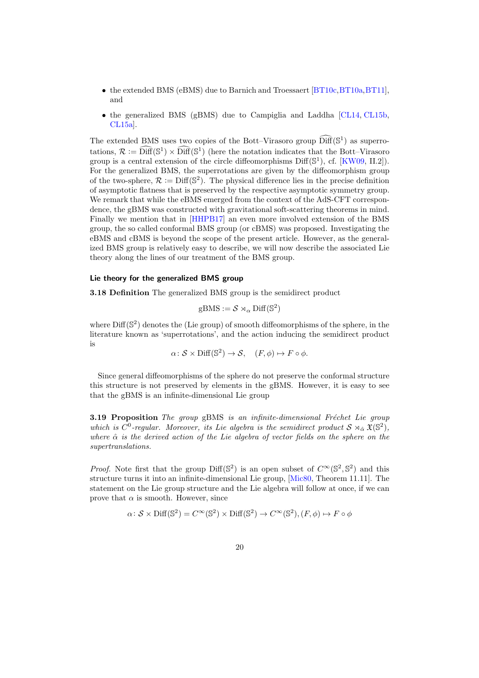- the extended BMS (eBMS) due to Barnich and Troessaert [\[BT10c,](#page-24-1) [BT10a,](#page-24-7) [BT11\]](#page-24-8), and
- the generalized BMS (gBMS) due to Campiglia and Laddha [\[CL14,](#page-24-9) [CL15b,](#page-25-9) [CL15a\]](#page-25-10).

The extended BMS uses two copies of the Bott–Virasoro group  $\widehat{\text{Diff}}(\mathbb{S}^1)$  as superrotations,  $\mathcal{R} := \widehat{\text{Diff}}(\mathbb{S}^1) \times \widehat{\text{Diff}}(\mathbb{S}^1)$  (here the notation indicates that the Bott–Virasoro group is a central extension of the circle diffeomorphisms  $Diff(\mathbb{S}^1)$ , cf.  $[KW09, II.2]$ . For the generalized BMS, the superrotations are given by the diffeomorphism group of the two-sphere,  $\mathcal{R} := \text{Diff}(\mathbb{S}^2)$ . The physical difference lies in the precise definition of asymptotic flatness that is preserved by the respective asymptotic symmetry group. We remark that while the eBMS emerged from the context of the AdS-CFT correspondence, the gBMS was constructed with gravitational soft-scattering theorems in mind. Finally we mention that in [\[HHPB17\]](#page-25-11) an even more involved extension of the BMS group, the so called conformal BMS group (or cBMS) was proposed. Investigating the eBMS and cBMS is beyond the scope of the present article. However, as the generalized BMS group is relatively easy to describe, we will now describe the associated Lie theory along the lines of our treatment of the BMS group.

#### Lie theory for the generalized BMS group

3.18 Definition The generalized BMS group is the semidirect product

$$
\mathrm{gBMS}:=\mathcal{S}\rtimes_{\alpha}\mathrm{Diff}(\mathbb{S}^2)
$$

where  $\text{Diff}(\mathbb{S}^2)$  denotes the (Lie group) of smooth diffeomorphisms of the sphere, in the literature known as 'superrotations', and the action inducing the semidirect product is

$$
\alpha\colon \mathcal{S}\times \text{Diff}(\mathbb{S}^2)\to \mathcal{S},\quad (F,\phi)\mapsto F\circ \phi.
$$

<span id="page-19-0"></span>Since general diffeomorphisms of the sphere do not preserve the conformal structure this structure is not preserved by elements in the gBMS. However, it is easy to see that the gBMS is an infinite-dimensional Lie group

**3.19 Proposition** The group gBMS is an infinite-dimensional Fréchet Lie group which is  $C^0$ -regular. Moreover, its Lie algebra is the semidirect product  $S \rtimes_{\hat{\alpha}} \mathfrak{X}(\mathbb{S}^2)$ , where  $\hat{\alpha}$  is the derived action of the Lie algebra of vector fields on the sphere on the supertranslations.

*Proof.* Note first that the group Diff( $\mathbb{S}^2$ ) is an open subset of  $C^{\infty}(\mathbb{S}^2, \mathbb{S}^2)$  and this structure turns it into an infinite-dimensional Lie group, [\[Mic80,](#page-26-12) Theorem 11.11]. The statement on the Lie group structure and the Lie algebra will follow at once, if we can prove that  $\alpha$  is smooth. However, since

$$
\alpha\colon \mathcal{S}\times \text{Diff}(\mathbb{S}^2) = C^\infty(\mathbb{S}^2)\times \text{Diff}(\mathbb{S}^2) \to C^\infty(\mathbb{S}^2), (F, \phi) \mapsto F\circ \phi
$$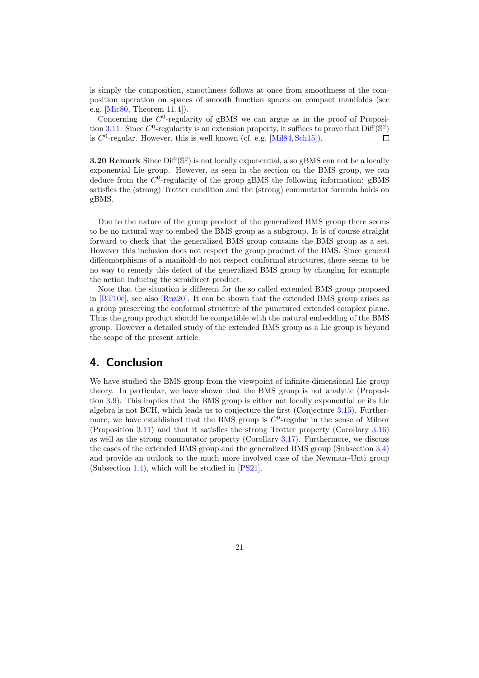is simply the composition, smoothness follows at once from smoothness of the composition operation on spaces of smooth function spaces on compact manifolds (see e.g. [\[Mic80,](#page-26-12) Theorem 11.4]).

Concerning the  $C^0$ -regularity of gBMS we can argue as in the proof of Proposi-tion [3.11:](#page-16-0) Since  $C^0$ -regularity is an extension property, it suffices to prove that  $\text{Diff}(\mathbb{S}^2)$ is  $C^0$ -regular. However, this is well known (cf. e.g. [\[Mil84,](#page-26-1) [Sch15\]](#page-27-9)).  $\Box$ 

**3.20 Remark** Since  $\text{Diff}(\mathbb{S}^2)$  is not locally exponential, also gBMS can not be a locally exponential Lie group. However, as seen in the section on the BMS group, we can deduce from the  $C^0$ -regularity of the group gBMS the following information: gBMS satisfies the (strong) Trotter condition and the (strong) commutator formula holds on gBMS.

Due to the nature of the group product of the generalized BMS group there seems to be no natural way to embed the BMS group as a subgroup. It is of course straight forward to check that the generalized BMS group contains the BMS group as a set. However this inclusion does not respect the group product of the BMS. Since general diffeomorphisms of a manifold do not respect conformal structures, there seems to be no way to remedy this defect of the generalized BMS group by changing for example the action inducing the semidirect product.

Note that the situation is different for the so called extended BMS group proposed in [\[BT10c\]](#page-24-1), see also [\[Ruz20\]](#page-27-10). It can be shown that the extended BMS group arises as a group preserving the conformal structure of the punctured extended complex plane. Thus the group product should be compatible with the natural embedding of the BMS group. However a detailed study of the extended BMS group as a Lie group is beyond the scope of the present article.

## <span id="page-20-0"></span>4. Conclusion

We have studied the BMS group from the viewpoint of infinite-dimensional Lie group theory. In particular, we have shown that the BMS group is not analytic (Proposition [3.9\)](#page-14-1). This implies that the BMS group is either not locally exponential or its Lie algebra is not BCH, which leads us to conjecture the first (Conjecture [3.15\)](#page-17-1). Furthermore, we have established that the BMS group is  $C^0$ -regular in the sense of Milnor (Proposition [3.11\)](#page-16-0) and that it satisfies the strong Trotter property (Corollary [3.16\)](#page-18-1) as well as the strong commutator property (Corollary [3.17\)](#page-18-2). Furthermore, we discuss the cases of the extended BMS group and the generalized BMS group (Subsection [3.4\)](#page-18-0) and provide an outlook to the much more involved case of the Newman–Unti group (Subsection [1.4\)](#page-5-0), which will be studied in [\[PS21\]](#page-27-3).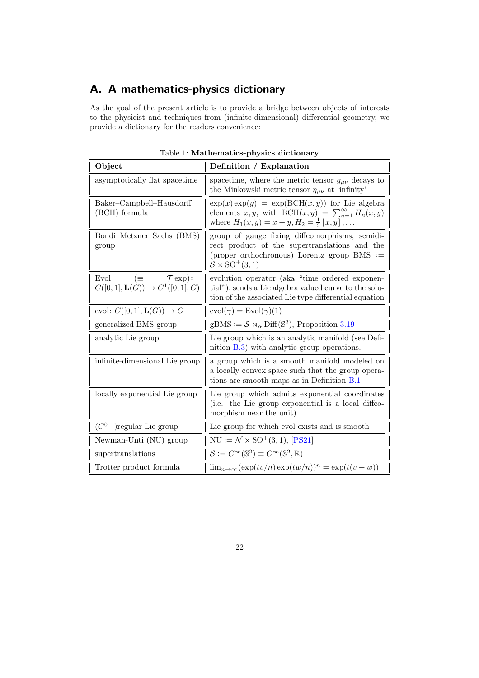## <span id="page-21-0"></span>A. A mathematics-physics dictionary

As the goal of the present article is to provide a bridge between objects of interests to the physicist and techniques from (infinite-dimensional) differential geometry, we provide a dictionary for the readers convenience:

| Object                                                                              | Definition / Explanation                                                                                                                                                                     |
|-------------------------------------------------------------------------------------|----------------------------------------------------------------------------------------------------------------------------------------------------------------------------------------------|
| asymptotically flat spacetime                                                       | spacetime, where the metric tensor $g_{\mu\nu}$ decays to<br>the Minkowski metric tensor $\eta_{\mu\nu}$ at 'infinity'                                                                       |
| Baker-Campbell-Hausdorff<br>(BCH) formula                                           | $\exp(x) \exp(y) = \exp(\text{BCH}(x, y))$ for Lie algebra<br>elements x, y, with BCH $(x, y) = \sum_{n=1}^{\infty} H_n(x, y)$<br>where $H_1(x, y) = x + y, H_2 = \frac{1}{2} [x, y], \dots$ |
| Bondi-Metzner-Sachs (BMS)<br>group                                                  | group of gauge fixing diffeomorphisms, semidi-<br>rect product of the supertranslations and the<br>(proper orthochronous) Lorentz group $BMS :=$<br>$S \rtimes SO^+(3,1)$                    |
| $(\equiv \mathcal{T} \exp):$<br>Evol<br>$C([0,1], \mathbf{L}(G)) \to C^1([0,1], G)$ | evolution operator (aka "time ordered exponen-<br>tial"), sends a Lie algebra valued curve to the solu-<br>tion of the associated Lie type differential equation                             |
| evol: $C([0,1], \mathbf{L}(G)) \to G$                                               | $evol(\gamma) = Evol(\gamma)(1)$                                                                                                                                                             |
| generalized BMS group                                                               | $gBMS := \mathcal{S} \rtimes_{\alpha} \text{Diff}(\mathbb{S}^2)$ , Proposition 3.19                                                                                                          |
| analytic Lie group                                                                  | Lie group which is an analytic manifold (see Defi-<br>nition $B.3$ ) with analytic group operations.                                                                                         |
| infinite-dimensional Lie group                                                      | a group which is a smooth manifold modeled on<br>a locally convex space such that the group opera-<br>tions are smooth maps as in Definition B.1                                             |
| locally exponential Lie group                                                       | Lie group which admits exponential coordinates<br>(i.e. the Lie group exponential is a local diffeo-<br>morphism near the unit)                                                              |
| $(C^0-)$ regular Lie group                                                          | Lie group for which evol exists and is smooth                                                                                                                                                |
| Newman-Unti (NU) group                                                              | $NU := \mathcal{N} \rtimes SO^+(3,1), [PS21]$                                                                                                                                                |
| supertranslations                                                                   | $\mathcal{S} := C^{\infty}(\mathbb{S}^2) \equiv C^{\infty}(\mathbb{S}^2, \mathbb{R})$                                                                                                        |
| Trotter product formula                                                             | $\lim_{n\to\infty}(\exp(tv/n)\exp(tw/n))^n=\exp(t(v+w))$                                                                                                                                     |

Table 1: Mathematics-physics dictionary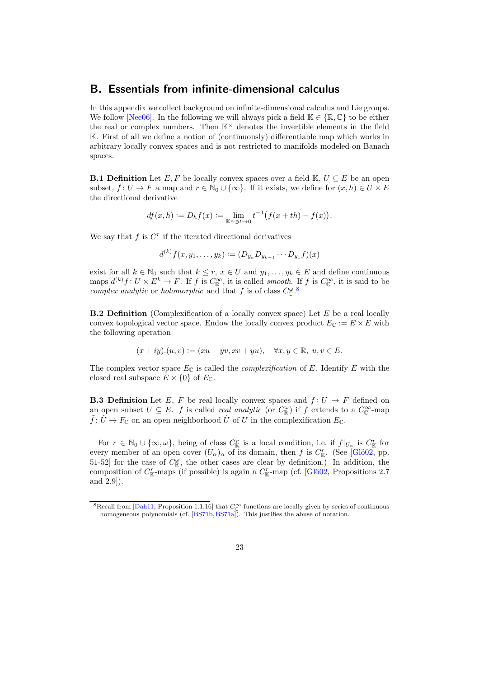### <span id="page-22-0"></span>B. Essentials from infinite-dimensional calculus

In this appendix we collect background on infinite-dimensional calculus and Lie groups. We follow [\[Nee06\]](#page-26-3). In the following we will always pick a field  $\mathbb{K} \in \{\mathbb{R}, \mathbb{C}\}\)$  to be either the real or complex numbers. Then  $\mathbb{K}^{\times}$  denotes the invertible elements in the field K. First of all we define a notion of (continuously) differentiable map which works in arbitrary locally convex spaces and is not restricted to manifolds modeled on Banach spaces.

<span id="page-22-2"></span>**B.1 Definition** Let E, F be locally convex spaces over a field K,  $U \subseteq E$  be an open subset,  $f: U \to F$  a map and  $r \in \mathbb{N}_0 \cup \{\infty\}$ . If it exists, we define for  $(x, h) \in U \times E$ the directional derivative

$$
df(x, h) := D_h f(x) := \lim_{\mathbb{K}^{\times} \ni t \to 0} t^{-1} (f(x + th) - f(x)).
$$

We say that  $f$  is  $C<sup>r</sup>$  if the iterated directional derivatives

$$
d^{(k)}f(x,y_1,\ldots,y_k):=(D_{y_k}D_{y_{k-1}}\cdots D_{y_1}f)(x)
$$

exist for all  $k \in \mathbb{N}_0$  such that  $k \leq r, x \in U$  and  $y_1, \ldots, y_k \in E$  and define continuous maps  $d^{(k)}f: U \times E^k \to F$ . If f is  $C^{\infty}_{\mathbb{R}}$ , it is called smooth. If f is  $C^{\infty}_{\mathbb{C}}$ , it is said to be complex analytic or holomorphic and that f is of class  $C^{\omega}_{\mathbb{C}}$ .<sup>[8](#page-22-3)</sup>

**B.2 Definition** (Complexification of a locally convex space) Let  $E$  be a real locally convex topological vector space. Endow the locally convex product  $E_{\mathbb{C}} := E \times E$  with the following operation

$$
(x+iy).(u,v):=(xu-yv,xv+yu),\quad \forall x,y\in\mathbb{R},\; u,v\in E.
$$

The complex vector space  $E_{\mathbb{C}}$  is called the *complexification* of E. Identify E with the closed real subspace  $E \times \{0\}$  of  $E_{\mathbb{C}}$ .

<span id="page-22-1"></span>**B.3 Definition** Let E, F be real locally convex spaces and  $f: U \to F$  defined on an open subset  $U \subseteq E$ . f is called real analytic (or  $C_{\mathbb{R}}^{\omega}$ ) if f extends to a  $C_{\mathbb{C}}^{\infty}$ -map  $\tilde{f} : \tilde{U} \to F_{\mathbb{C}}$  on an open neighborhood  $\tilde{U}$  of U in the complexification  $E_{\mathbb{C}}$ .

For  $r \in \mathbb{N}_0 \cup \{\infty, \omega\}$ , being of class  $C_{\mathbb{K}}^r$  is a local condition, i.e. if  $f|_{U_{\alpha}}$  is  $C_{\mathbb{K}}^r$  for every member of an open cover  $(U_{\alpha})_{\alpha}$  of its domain, then f is  $C_{\mathbb{K}}^{r}$ . (See [Glö02, pp. 51-52] for the case of  $C_{\mathbb{R}}^{\omega}$ , the other cases are clear by definition.) In addition, the composition of  $C^r_{\mathbb{K}}$ -maps (if possible) is again a  $C^r_{\mathbb{K}}$ -map (cf. [Glö02, Propositions 2.7] and 2.9]).

<span id="page-22-3"></span><sup>&</sup>lt;sup>8</sup>Recall from [\[Dah11,](#page-25-13) Proposition 1.1.16] that  $C_{\mathbb{C}}^{\infty}$  functions are locally given by series of continuous homogeneous polynomials (cf. [\[BS71b,](#page-24-10) [BS71a\]](#page-24-11)). This justifies the abuse of notation.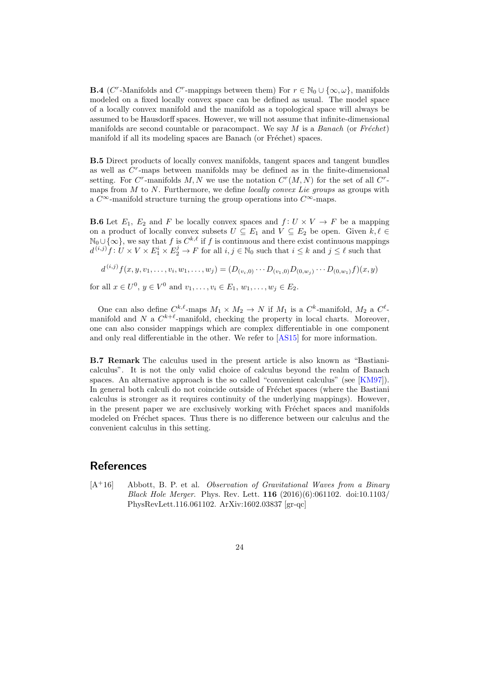**B.4** ( $C^r$ -Manifolds and  $C^r$ -mappings between them) For  $r \in \mathbb{N}_0 \cup \{\infty, \omega\}$ , manifolds modeled on a fixed locally convex space can be defined as usual. The model space of a locally convex manifold and the manifold as a topological space will always be assumed to be Hausdorff spaces. However, we will not assume that infinite-dimensional manifolds are second countable or paracompact. We say  $M$  is a Banach (or Fréchet) manifold if all its modeling spaces are Banach (or Fréchet) spaces.

B.5 Direct products of locally convex manifolds, tangent spaces and tangent bundles as well as  $C<sup>r</sup>$ -maps between manifolds may be defined as in the finite-dimensional setting. For C<sup>r</sup>-manifolds M, N we use the notation  $C<sup>r</sup>(M, N)$  for the set of all C<sup>r</sup>maps from  $M$  to  $N$ . Furthermore, we define *locally convex Lie groups* as groups with a  $C^{\infty}$ -manifold structure turning the group operations into  $C^{\infty}$ -maps.

<span id="page-23-2"></span>**B.6** Let  $E_1$ ,  $E_2$  and F be locally convex spaces and  $f: U \times V \to F$  be a mapping on a product of locally convex subsets  $U \subseteq E_1$  and  $V \subseteq E_2$  be open. Given  $k, \ell \in$  $\mathbb{N}_0 \cup \{\infty\}$ , we say that f is  $C^{k,\ell}$  if f is continuous and there exist continuous mappings  $d^{(i,j)}f: U \times V \times E_1^i \times E_2^j \to F$  for all  $i, j \in \mathbb{N}_0$  such that  $i \leq k$  and  $j \leq \ell$  such that

$$
d^{(i,j)} f(x, y, v_1, \dots, v_i, w_1, \dots, w_j) = (D_{(v_i, 0)} \cdots D_{(v_1, 0)} D_{(0, w_j)} \cdots D_{(0, w_1)} f)(x, y)
$$
  
for all  $x \in U^0$ ,  $y \in V^0$  and  $v_1, \dots, v_i \in E_1$ ,  $w_1, \dots, w_j \in E_2$ .

One can also define  $C^{k,\ell}$ -maps  $M_1 \times M_2 \to N$  if  $M_1$  is a  $C^k$ -manifold,  $M_2$  a  $C^{\ell}$ manifold and N a  $C^{k+\ell}$ -manifold, checking the property in local charts. Moreover, one can also consider mappings which are complex differentiable in one component and only real differentiable in the other. We refer to [\[AS15\]](#page-24-12) for more information.

<span id="page-23-0"></span>B.7 Remark The calculus used in the present article is also known as "Bastianicalculus". It is not the only valid choice of calculus beyond the realm of Banach spaces. An alternative approach is the so called "convenient calculus" (see [\[KM97\]](#page-26-2)). In general both calculi do not coincide outside of Fréchet spaces (where the Bastiani calculus is stronger as it requires continuity of the underlying mappings). However, in the present paper we are exclusively working with Fréchet spaces and manifolds modeled on Fréchet spaces. Thus there is no difference between our calculus and the convenient calculus in this setting.

## References

<span id="page-23-1"></span> $[A<sup>+</sup>16]$  Abbott, B. P. et al. *Observation of Gravitational Waves from a Binary Black Hole Merger.* Phys. Rev. Lett. **116**  $(2016)(6):061102$ . doi:10.1103/ PhysRevLett.116.061102. ArXiv:1602.03837 [gr-qc]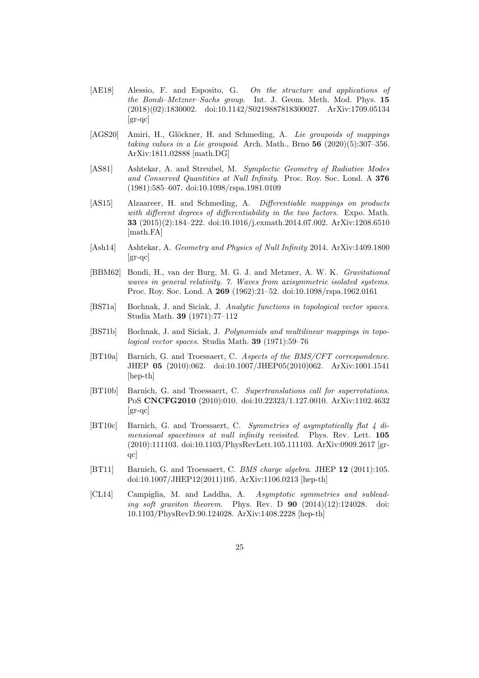- <span id="page-24-5"></span>[AE18] Alessio, F. and Esposito, G. On the structure and applications of the Bondi–Metzner–Sachs group. Int. J. Geom. Meth. Mod. Phys. 15 (2018)(02):1830002. doi:10.1142/S0219887818300027. ArXiv:1709.05134 [gr-qc]
- <span id="page-24-4"></span>[AGS20] Amiri, H., Glöckner, H. and Schmeding, A. Lie groupoids of mappings taking values in a Lie groupoid. Arch. Math., Brno  $56$   $(2020)(5):307-356$ . ArXiv:1811.02888 [math.DG]
- <span id="page-24-3"></span>[AS81] Ashtekar, A. and Streubel, M. Symplectic Geometry of Radiative Modes and Conserved Quantities at Null Infinity. Proc. Roy. Soc. Lond. A 376 (1981):585–607. doi:10.1098/rspa.1981.0109
- <span id="page-24-12"></span>[AS15] Alzaareer, H. and Schmeding, A. Differentiable mappings on products with different degrees of differentiability in the two factors. Expo. Math. 33 (2015)(2):184–222. doi:10.1016/j.exmath.2014.07.002. ArXiv:1208.6510 [math.FA]
- <span id="page-24-2"></span>[Ash14] Ashtekar, A. Geometry and Physics of Null Infinity 2014. ArXiv:1409.1800 [gr-qc]
- <span id="page-24-0"></span>[BBM62] Bondi, H., van der Burg, M. G. J. and Metzner, A. W. K. Gravitational waves in general relativity. 7. Waves from axisymmetric isolated systems. Proc. Roy. Soc. Lond. A 269 (1962):21–52. doi:10.1098/rspa.1962.0161
- <span id="page-24-11"></span>[BS71a] Bochnak, J. and Siciak, J. Analytic functions in topological vector spaces. Studia Math. 39 (1971):77–112
- <span id="page-24-10"></span>[BS71b] Bochnak, J. and Siciak, J. Polynomials and multilinear mappings in topological vector spaces. Studia Math. 39 (1971):59–76
- <span id="page-24-7"></span>[BT10a] Barnich, G. and Troessaert, C. Aspects of the BMS/CFT correspondence. JHEP 05 (2010):062. doi:10.1007/JHEP05(2010)062. ArXiv:1001.1541 [hep-th]
- <span id="page-24-6"></span>[BT10b] Barnich, G. and Troessaert, C. Supertranslations call for superrotations. PoS CNCFG2010 (2010):010. doi:10.22323/1.127.0010. ArXiv:1102.4632 [gr-qc]
- <span id="page-24-1"></span>[BT10c] Barnich, G. and Troessaert, C. Symmetries of asymptotically flat 4 dimensional spacetimes at null infinity revisited. Phys. Rev. Lett. 105 (2010):111103. doi:10.1103/PhysRevLett.105.111103. ArXiv:0909.2617 [grqc]
- <span id="page-24-8"></span>[BT11] Barnich, G. and Troessaert, C. BMS charge algebra. JHEP 12 (2011):105. doi:10.1007/JHEP12(2011)105. ArXiv:1106.0213 [hep-th]
- <span id="page-24-9"></span>[CL14] Campiglia, M. and Laddha, A. Asymptotic symmetries and subleading soft graviton theorem. Phys. Rev. D  $90$   $(2014)(12):124028$ . doi: 10.1103/PhysRevD.90.124028. ArXiv:1408.2228 [hep-th]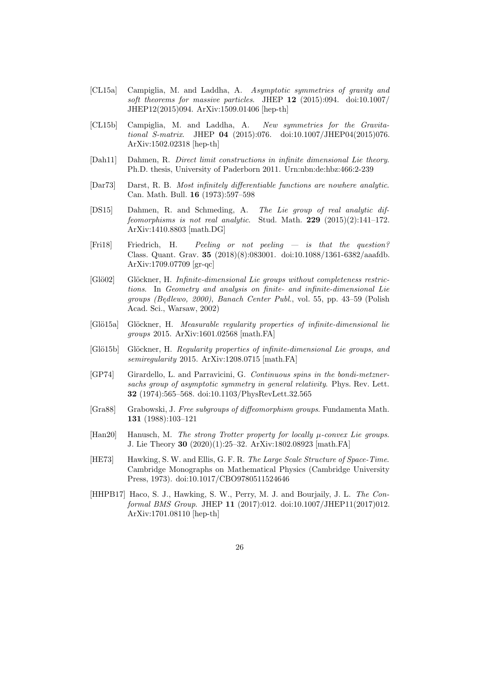- <span id="page-25-10"></span>[CL15a] Campiglia, M. and Laddha, A. Asymptotic symmetries of gravity and soft theorems for massive particles. JHEP 12 (2015):094. doi:10.1007/ JHEP12(2015)094. ArXiv:1509.01406 [hep-th]
- <span id="page-25-9"></span>[CL15b] Campiglia, M. and Laddha, A. New symmetries for the Gravitational S-matrix. JHEP 04 (2015):076. doi:10.1007/JHEP04(2015)076. ArXiv:1502.02318 [hep-th]
- <span id="page-25-13"></span>[Dah11] Dahmen, R. Direct limit constructions in infinite dimensional Lie theory. Ph.D. thesis, University of Paderborn 2011. Urn:nbn:de:hbz:466:2-239
- <span id="page-25-4"></span>[Dar73] Darst, R. B. Most infinitely differentiable functions are nowhere analytic. Can. Math. Bull. 16 (1973):597–598
- <span id="page-25-5"></span>[DS15] Dahmen, R. and Schmeding, A. The Lie group of real analytic diffeomorphisms is not real analytic. Stud. Math.  $229$   $(2015)(2):141-172$ . ArXiv:1410.8803 [math.DG]
- <span id="page-25-2"></span>[Fri18] Friedrich, H. Peeling or not peeling — is that the question? Class. Quant. Grav. 35 (2018)(8):083001. doi:10.1088/1361-6382/aaafdb. ArXiv:1709.07709 [gr-qc]
- <span id="page-25-12"></span>[Glö02] Glöckner, H. Infinite-dimensional Lie groups without completeness restrictions. In Geometry and analysis on finite- and infinite-dimensional Lie groups (Bedlewo, 2000), Banach Center Publ., vol. 55, pp. 43–59 (Polish<br>Aged Sei, Werson: 2002) Acad. Sci., Warsaw, 2002)
- <span id="page-25-8"></span>[Glö15a] Glöckner, H. Measurable regularity properties of infinite-dimensional lie groups 2015. ArXiv:1601.02568 [math.FA]
- <span id="page-25-6"></span>[Glö15b] Glöckner, H. Regularity properties of infinite-dimensional Lie groups, and semiregularity 2015. ArXiv:1208.0715 [math.FA]
- <span id="page-25-1"></span>[GP74] Girardello, L. and Parravicini, G. Continuous spins in the bondi-metznersachs group of asymptotic symmetry in general relativity. Phys. Rev. Lett. 32 (1974):565–568. doi:10.1103/PhysRevLett.32.565
- <span id="page-25-0"></span>[Gra88] Grabowski, J. Free subgroups of diffeomorphism groups. Fundamenta Math. 131 (1988):103–121
- <span id="page-25-7"></span>[Han20] Hanusch, M. The strong Trotter property for locally  $\mu$ -convex Lie groups. J. Lie Theory 30 (2020)(1):25–32. ArXiv:1802.08923 [math.FA]
- <span id="page-25-3"></span>[HE73] Hawking, S. W. and Ellis, G. F. R. The Large Scale Structure of Space-Time. Cambridge Monographs on Mathematical Physics (Cambridge University Press, 1973). doi:10.1017/CBO9780511524646
- <span id="page-25-11"></span>[HHPB17] Haco, S. J., Hawking, S. W., Perry, M. J. and Bourjaily, J. L. The Conformal BMS Group. JHEP 11 (2017):012. doi:10.1007/JHEP11(2017)012. ArXiv:1701.08110 [hep-th]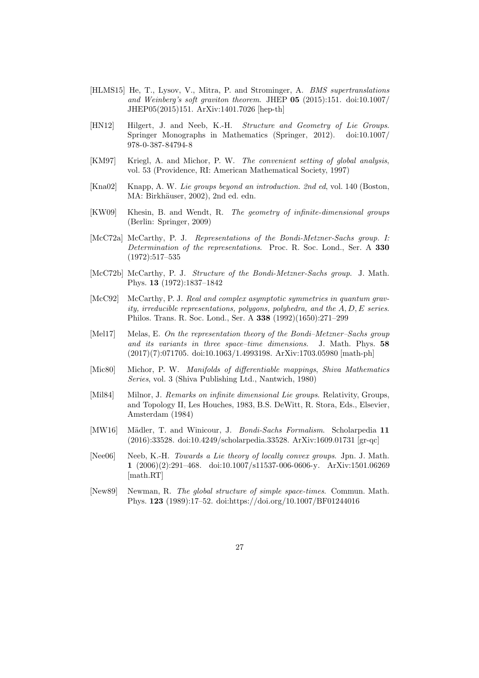- <span id="page-26-0"></span>[HLMS15] He, T., Lysov, V., Mitra, P. and Strominger, A. BMS supertranslations and Weinberg's soft graviton theorem. JHEP 05 (2015):151. doi:10.1007/ JHEP05(2015)151. ArXiv:1401.7026 [hep-th]
- <span id="page-26-10"></span>[HN12] Hilgert, J. and Neeb, K.-H. Structure and Geometry of Lie Groups. Springer Monographs in Mathematics (Springer, 2012). doi:10.1007/ 978-0-387-84794-8
- <span id="page-26-2"></span>[KM97] Kriegl, A. and Michor, P. W. The convenient setting of global analysis, vol. 53 (Providence, RI: American Mathematical Society, 1997)
- <span id="page-26-11"></span>[Kna02] Knapp, A. W. Lie groups beyond an introduction. 2nd ed, vol. 140 (Boston, MA: Birkhäuser, 2002), 2nd ed. edn.
- <span id="page-26-13"></span>[KW09] Khesin, B. and Wendt, R. The geometry of infinite-dimensional groups (Berlin: Springer, 2009)
- <span id="page-26-4"></span>[McC72a] McCarthy, P. J. Representations of the Bondi-Metzner-Sachs group. I: Determination of the representations. Proc. R. Soc. Lond., Ser. A 330 (1972):517–535
- <span id="page-26-5"></span>[McC72b] McCarthy, P. J. Structure of the Bondi-Metzner-Sachs group. J. Math. Phys. 13 (1972):1837–1842
- <span id="page-26-7"></span>[McC92] McCarthy, P. J. Real and complex asymptotic symmetries in quantum gravity, irreducible representations, polygons, polyhedra, and the  $A, D, E$  series. Philos. Trans. R. Soc. Lond., Ser. A 338 (1992)(1650):271–299
- <span id="page-26-6"></span>[Mel17] Melas, E. On the representation theory of the Bondi–Metzner–Sachs group and its variants in three space–time dimensions. J. Math. Phys. 58 (2017)(7):071705. doi:10.1063/1.4993198. ArXiv:1703.05980 [math-ph]
- <span id="page-26-12"></span>[Mic80] Michor, P. W. Manifolds of differentiable mappings, Shiva Mathematics Series, vol. 3 (Shiva Publishing Ltd., Nantwich, 1980)
- <span id="page-26-1"></span>[Mil84] Milnor, J. Remarks on infinite dimensional Lie groups. Relativity, Groups, and Topology II, Les Houches, 1983, B.S. DeWitt, R. Stora, Eds., Elsevier, Amsterdam (1984)
- <span id="page-26-9"></span>[MW16] Mädler, T. and Winicour, J. Bondi-Sachs Formalism. Scholarpedia 11 (2016):33528. doi:10.4249/scholarpedia.33528. ArXiv:1609.01731 [gr-qc]
- <span id="page-26-3"></span>[Nee06] Neeb, K.-H. Towards a Lie theory of locally convex groups. Jpn. J. Math. 1 (2006)(2):291–468. doi:10.1007/s11537-006-0606-y. ArXiv:1501.06269 [math.RT]
- <span id="page-26-8"></span>[New89] Newman, R. The global structure of simple space-times. Commun. Math. Phys. 123 (1989):17–52. doi:https://doi.org/10.1007/BF01244016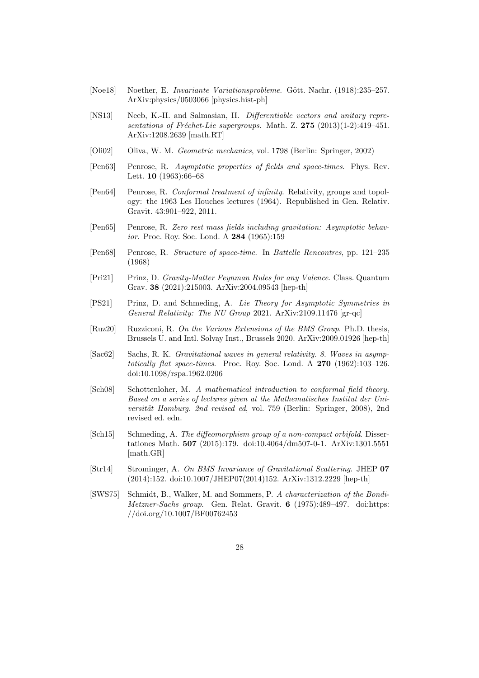- <span id="page-27-8"></span>[Noe18] Noether, E. *Invariante Variationsprobleme.* Gött. Nachr. (1918):235–257. ArXiv:physics/0503066 [physics.hist-ph]
- <span id="page-27-14"></span>[NS13] Neeb, K.-H. and Salmasian, H. Differentiable vectors and unitary representations of Fréchet-Lie supergroups. Math. Z.  $275$   $(2013)(1-2):419-451$ . ArXiv:1208.2639 [math.RT]
- <span id="page-27-12"></span>[Oli02] Oliva, W. M. Geometric mechanics, vol. 1798 (Berlin: Springer, 2002)
- <span id="page-27-4"></span>[Pen63] Penrose, R. Asymptotic properties of fields and space-times. Phys. Rev. Lett. 10 (1963):66–68
- <span id="page-27-5"></span>[Pen64] Penrose, R. Conformal treatment of infinity. Relativity, groups and topology: the 1963 Les Houches lectures (1964). Republished in Gen. Relativ. Gravit. 43:901–922, 2011.
- <span id="page-27-6"></span>[Pen65] Penrose, R. Zero rest mass fields including gravitation: Asymptotic behavior. Proc. Roy. Soc. Lond. A 284 (1965):159
- <span id="page-27-7"></span>[Pen68] Penrose, R. Structure of space-time. In Battelle Rencontres, pp. 121–235 (1968)
- <span id="page-27-2"></span>[Pri21] Prinz, D. Gravity-Matter Feynman Rules for any Valence. Class. Quantum Grav. 38 (2021):215003. ArXiv:2004.09543 [hep-th]
- <span id="page-27-3"></span>[PS21] Prinz, D. and Schmeding, A. Lie Theory for Asymptotic Symmetries in General Relativity: The NU Group 2021. ArXiv:2109.11476 [gr-qc]
- <span id="page-27-10"></span>[Ruz20] Ruzziconi, R. On the Various Extensions of the BMS Group. Ph.D. thesis, Brussels U. and Intl. Solvay Inst., Brussels 2020. ArXiv:2009.01926 [hep-th]
- <span id="page-27-0"></span>[Sac62] Sachs, R. K. Gravitational waves in general relativity. 8. Waves in asymptotically flat space-times. Proc. Roy. Soc. Lond. A 270 (1962):103-126. doi:10.1098/rspa.1962.0206
- <span id="page-27-13"></span>[Sch08] Schottenloher, M. A mathematical introduction to conformal field theory. Based on a series of lectures given at the Mathematisches Institut der Universität Hamburg. 2nd revised ed, vol. 759 (Berlin: Springer, 2008), 2nd revised ed. edn.
- <span id="page-27-9"></span>[Sch15] Schmeding, A. The diffeomorphism group of a non-compact orbifold. Dissertationes Math. 507 (2015):179. doi:10.4064/dm507-0-1. ArXiv:1301.5551 [math.GR]
- <span id="page-27-1"></span>[Str14] Strominger, A. On BMS Invariance of Gravitational Scattering. JHEP 07 (2014):152. doi:10.1007/JHEP07(2014)152. ArXiv:1312.2229 [hep-th]
- <span id="page-27-11"></span>[SWS75] Schmidt, B., Walker, M. and Sommers, P. A characterization of the Bondi-Metzner-Sachs group. Gen. Relat. Gravit. 6 (1975):489–497. doi:https: //doi.org/10.1007/BF00762453